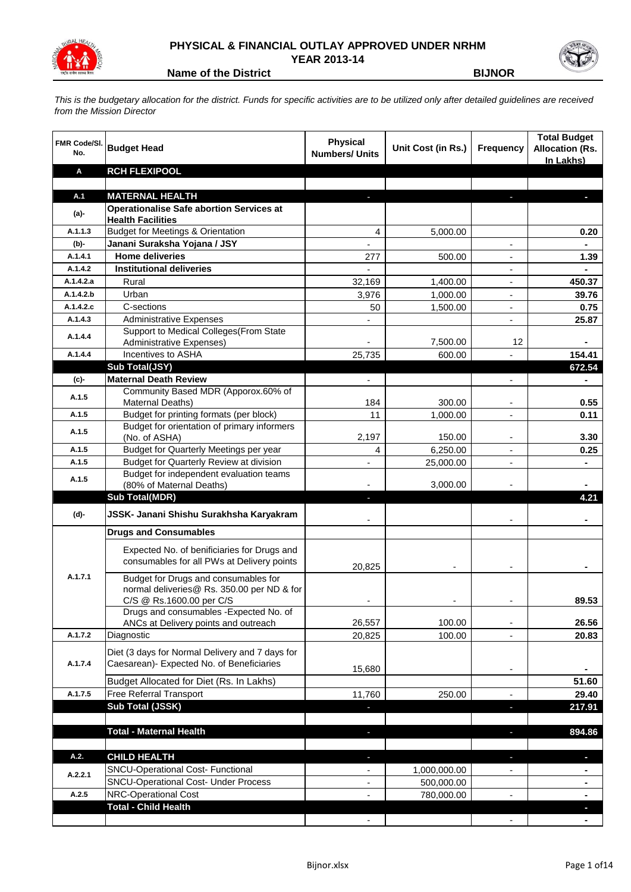

## **PHYSICAL & FINANCIAL OUTLAY APPROVED UNDER NRHM YEAR 2013-14**

**Name of the District BIJNOR**

*This is the budgetary allocation for the district. Funds for specific activities are to be utilized only after detailed guidelines are received from the Mission Director*

| <b>FMR Code/SI.</b><br>No. | <b>Budget Head</b>                                                                           | <b>Physical</b><br><b>Numbers/ Units</b> | Unit Cost (in Rs.) | <b>Frequency</b>         | <b>Total Budget</b><br><b>Allocation (Rs.</b><br>In Lakhs) |
|----------------------------|----------------------------------------------------------------------------------------------|------------------------------------------|--------------------|--------------------------|------------------------------------------------------------|
| Α                          | <b>RCH FLEXIPOOL</b>                                                                         |                                          |                    |                          |                                                            |
|                            |                                                                                              |                                          |                    |                          |                                                            |
| A.1                        | <b>MATERNAL HEALTH</b>                                                                       |                                          |                    |                          |                                                            |
| $(a)$ -                    | <b>Operationalise Safe abortion Services at</b>                                              |                                          |                    |                          |                                                            |
| A.1.1.3                    | <b>Health Facilities</b><br><b>Budget for Meetings &amp; Orientation</b>                     | 4                                        |                    |                          | 0.20                                                       |
| $(b)$ -                    | Janani Suraksha Yojana / JSY                                                                 | $\blacksquare$                           | 5,000.00           | $\overline{\phantom{a}}$ | $\blacksquare$                                             |
| A.1.4.1                    | <b>Home deliveries</b>                                                                       | 277                                      | 500.00             | $\blacksquare$           | 1.39                                                       |
| A.1.4.2                    | <b>Institutional deliveries</b>                                                              | $\blacksquare$                           |                    | $\overline{\phantom{a}}$ | $\blacksquare$                                             |
| A.1.4.2.a                  | Rural                                                                                        | 32,169                                   | 1,400.00           | $\blacksquare$           | 450.37                                                     |
| A.1.4.2.b                  | Urban                                                                                        | 3,976                                    | 1,000.00           | $\overline{\phantom{a}}$ | 39.76                                                      |
| A.1.4.2.c                  | C-sections                                                                                   | 50                                       | 1,500.00           | $\overline{\phantom{a}}$ | 0.75                                                       |
| A.1.4.3                    | <b>Administrative Expenses</b>                                                               |                                          |                    | $\overline{\phantom{a}}$ | 25.87                                                      |
|                            | Support to Medical Colleges(From State                                                       |                                          |                    |                          |                                                            |
| A.1.4.4                    | Administrative Expenses)                                                                     |                                          | 7,500.00           | 12                       |                                                            |
| A.1.4.4                    | Incentives to ASHA                                                                           | 25,735                                   | 600.00             |                          | 154.41                                                     |
|                            | Sub Total(JSY)                                                                               |                                          |                    |                          | 672.54                                                     |
| (c)                        | <b>Maternal Death Review</b>                                                                 |                                          |                    |                          |                                                            |
| A.1.5                      | Community Based MDR (Apporox.60% of                                                          |                                          |                    |                          |                                                            |
|                            | Maternal Deaths)                                                                             | 184                                      | 300.00             | -                        | 0.55                                                       |
| A.1.5                      | Budget for printing formats (per block)<br>Budget for orientation of primary informers       | 11                                       | 1,000.00           | $\overline{\phantom{a}}$ | 0.11                                                       |
| A.1.5                      | (No. of ASHA)                                                                                | 2,197                                    | 150.00             |                          | 3.30                                                       |
| A.1.5                      | Budget for Quarterly Meetings per year                                                       | 4                                        | 6,250.00           |                          | 0.25                                                       |
| A.1.5                      | Budget for Quarterly Review at division                                                      |                                          | 25,000.00          |                          |                                                            |
| A.1.5                      | Budget for independent evaluation teams                                                      |                                          |                    |                          |                                                            |
|                            | (80% of Maternal Deaths)                                                                     |                                          | 3,000.00           |                          |                                                            |
|                            | <b>Sub Total(MDR)</b>                                                                        | J,                                       |                    |                          | 4.21                                                       |
| (d)-                       | JSSK- Janani Shishu Surakhsha Karyakram                                                      |                                          |                    |                          |                                                            |
|                            | <b>Drugs and Consumables</b>                                                                 |                                          |                    |                          |                                                            |
|                            | Expected No. of benificiaries for Drugs and                                                  |                                          |                    |                          |                                                            |
|                            | consumables for all PWs at Delivery points                                                   | 20,825                                   |                    |                          |                                                            |
| A.1.7.1                    | Budget for Drugs and consumables for                                                         |                                          |                    |                          |                                                            |
|                            | normal deliveries@ Rs. 350.00 per ND & for                                                   |                                          |                    |                          |                                                            |
|                            | C/S @ Rs.1600.00 per C/S<br>Drugs and consumables - Expected No. of                          |                                          |                    |                          | 89.53                                                      |
|                            | ANCs at Delivery points and outreach                                                         | 26,557                                   | 100.00             |                          | 26.56                                                      |
| A.1.7.2                    | Diagnostic                                                                                   | 20,825                                   | 100.00             |                          | 20.83                                                      |
|                            |                                                                                              |                                          |                    |                          |                                                            |
| A.1.7.4                    | Diet (3 days for Normal Delivery and 7 days for<br>Caesarean)- Expected No. of Beneficiaries |                                          |                    |                          |                                                            |
|                            |                                                                                              | 15,680                                   |                    |                          |                                                            |
|                            | Budget Allocated for Diet (Rs. In Lakhs)                                                     |                                          |                    |                          | 51.60                                                      |
| A.1.7.5                    | <b>Free Referral Transport</b>                                                               | 11,760                                   | 250.00             |                          | 29.40                                                      |
|                            | Sub Total (JSSK)                                                                             |                                          |                    | ı                        | 217.91                                                     |
|                            |                                                                                              |                                          |                    |                          |                                                            |
|                            | <b>Total - Maternal Health</b>                                                               | ٠                                        |                    |                          | 894.86                                                     |
| A.2.                       | <b>CHILD HEALTH</b>                                                                          | $\blacksquare$                           |                    | J.                       | ٠                                                          |
| A.2.2.1                    | SNCU-Operational Cost- Functional                                                            | $\qquad \qquad \blacksquare$             | 1,000,000.00       |                          |                                                            |
|                            | <b>SNCU-Operational Cost- Under Process</b>                                                  | ۰                                        | 500,000.00         |                          |                                                            |
| A.2.5                      | NRC-Operational Cost                                                                         |                                          | 780,000.00         |                          |                                                            |
|                            | <b>Total - Child Health</b>                                                                  |                                          |                    |                          |                                                            |
|                            |                                                                                              |                                          |                    |                          |                                                            |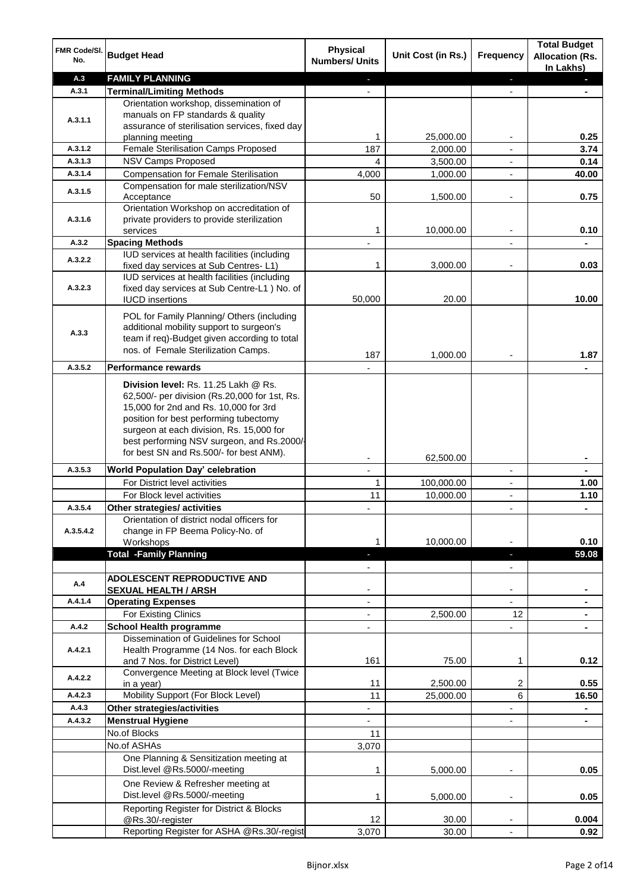| FMR Code/SI.<br>No. | <b>Budget Head</b>                                                                    | <b>Physical</b><br><b>Numbers/ Units</b> | Unit Cost (in Rs.)   | Frequency                     | <b>Total Budget</b><br><b>Allocation (Rs.</b><br>In Lakhs) |
|---------------------|---------------------------------------------------------------------------------------|------------------------------------------|----------------------|-------------------------------|------------------------------------------------------------|
| A.3                 | <b>FAMILY PLANNING</b>                                                                | ÷.                                       |                      | $\blacksquare$                | $\blacksquare$                                             |
| A.3.1               | <b>Terminal/Limiting Methods</b>                                                      |                                          |                      |                               |                                                            |
|                     | Orientation workshop, dissemination of                                                |                                          |                      |                               |                                                            |
| A.3.1.1             | manuals on FP standards & quality                                                     |                                          |                      |                               |                                                            |
|                     | assurance of sterilisation services, fixed day                                        |                                          |                      |                               | 0.25                                                       |
| A.3.1.2             | planning meeting<br>Female Sterilisation Camps Proposed                               | 1<br>187                                 | 25,000.00            | ۰<br>$\overline{\phantom{a}}$ | 3.74                                                       |
| A.3.1.3             | NSV Camps Proposed                                                                    | 4                                        | 2,000.00<br>3,500.00 | $\overline{\phantom{a}}$      | 0.14                                                       |
| A.3.1.4             | <b>Compensation for Female Sterilisation</b>                                          | 4,000                                    | 1,000.00             | $\blacksquare$                | 40.00                                                      |
|                     | Compensation for male sterilization/NSV                                               |                                          |                      |                               |                                                            |
| A.3.1.5             | Acceptance                                                                            | 50                                       | 1,500.00             | ٠                             | 0.75                                                       |
|                     | Orientation Workshop on accreditation of                                              |                                          |                      |                               |                                                            |
| A.3.1.6             | private providers to provide sterilization                                            |                                          |                      |                               |                                                            |
|                     | services                                                                              | 1                                        | 10,000.00            |                               | 0.10                                                       |
| A.3.2               | <b>Spacing Methods</b>                                                                |                                          |                      |                               |                                                            |
| A.3.2.2             | IUD services at health facilities (including                                          | 1                                        |                      |                               | 0.03                                                       |
|                     | fixed day services at Sub Centres-L1)<br>IUD services at health facilities (including |                                          | 3,000.00             |                               |                                                            |
| A.3.2.3             | fixed day services at Sub Centre-L1 ) No. of                                          |                                          |                      |                               |                                                            |
|                     | <b>IUCD</b> insertions                                                                | 50,000                                   | 20.00                |                               | 10.00                                                      |
|                     | POL for Family Planning/ Others (including                                            |                                          |                      |                               |                                                            |
|                     | additional mobility support to surgeon's                                              |                                          |                      |                               |                                                            |
| A.3.3               | team if req)-Budget given according to total                                          |                                          |                      |                               |                                                            |
|                     | nos. of Female Sterilization Camps.                                                   |                                          |                      |                               |                                                            |
| A.3.5.2             | <b>Performance rewards</b>                                                            | 187                                      | 1,000.00             |                               | 1.87                                                       |
|                     |                                                                                       |                                          |                      |                               |                                                            |
|                     | Division level: Rs. 11.25 Lakh @ Rs.                                                  |                                          |                      |                               |                                                            |
|                     | 62,500/- per division (Rs.20,000 for 1st, Rs.                                         |                                          |                      |                               |                                                            |
|                     | 15,000 for 2nd and Rs. 10,000 for 3rd<br>position for best performing tubectomy       |                                          |                      |                               |                                                            |
|                     | surgeon at each division, Rs. 15,000 for                                              |                                          |                      |                               |                                                            |
|                     | best performing NSV surgeon, and Rs.2000/-                                            |                                          |                      |                               |                                                            |
|                     | for best SN and Rs.500/- for best ANM).                                               |                                          | 62,500.00            |                               |                                                            |
| A.3.5.3             | World Population Day' celebration                                                     |                                          |                      | $\overline{\phantom{a}}$      |                                                            |
|                     | For District level activities                                                         | 1                                        | 100,000.00           | ٠                             | 1.00                                                       |
|                     | For Block level activities                                                            | 11                                       | 10,000.00            | L,                            | 1.10                                                       |
| A.3.5.4             | Other strategies/ activities                                                          | ٠                                        |                      | $\overline{\phantom{a}}$      | $\blacksquare$                                             |
|                     | Orientation of district nodal officers for                                            |                                          |                      |                               |                                                            |
| A.3.5.4.2           | change in FP Beema Policy-No. of                                                      |                                          |                      |                               |                                                            |
|                     | Workshops                                                                             | 1                                        | 10,000.00            |                               | 0.10                                                       |
|                     | <b>Total -Family Planning</b>                                                         | н                                        |                      | ٠                             | 59.08                                                      |
|                     |                                                                                       |                                          |                      | $\overline{\phantom{0}}$      |                                                            |
| A.4                 | <b>ADOLESCENT REPRODUCTIVE AND</b>                                                    |                                          |                      | ۰                             |                                                            |
| A.4.1.4             | <b>SEXUAL HEALTH / ARSH</b><br><b>Operating Expenses</b>                              | $\overline{\phantom{0}}$                 |                      | $\overline{\phantom{0}}$      |                                                            |
|                     | For Existing Clinics                                                                  | $\overline{\phantom{0}}$                 | 2,500.00             | 12                            |                                                            |
| A.4.2               | <b>School Health programme</b>                                                        | $\overline{\phantom{0}}$                 |                      | ÷,                            |                                                            |
|                     | Dissemination of Guidelines for School                                                |                                          |                      |                               |                                                            |
| A.4.2.1             | Health Programme (14 Nos. for each Block                                              |                                          |                      |                               |                                                            |
|                     | and 7 Nos. for District Level)                                                        | 161                                      | 75.00                | 1                             | 0.12                                                       |
| A.4.2.2             | Convergence Meeting at Block level (Twice                                             |                                          |                      |                               |                                                            |
|                     | in a year)                                                                            | 11                                       | 2,500.00             | 2                             | 0.55                                                       |
| A.4.2.3             | Mobility Support (For Block Level)                                                    | 11                                       | 25,000.00            | 6                             | 16.50                                                      |
| A.4.3               | <b>Other strategies/activities</b>                                                    | $\overline{\phantom{0}}$                 |                      | $\overline{\phantom{0}}$      | $\blacksquare$                                             |
| A.4.3.2             | <b>Menstrual Hygiene</b><br>No.of Blocks                                              | ÷,<br>11                                 |                      | ÷,                            | $\blacksquare$                                             |
|                     |                                                                                       |                                          |                      |                               |                                                            |
|                     | No.of ASHAs<br>One Planning & Sensitization meeting at                                | 3,070                                    |                      |                               |                                                            |
|                     | Dist.level @Rs.5000/-meeting                                                          | 1                                        | 5,000.00             |                               | 0.05                                                       |
|                     | One Review & Refresher meeting at                                                     |                                          |                      |                               |                                                            |
|                     | Dist.level @Rs.5000/-meeting                                                          | 1                                        | 5,000.00             | $\overline{\phantom{a}}$      | 0.05                                                       |
|                     | Reporting Register for District & Blocks                                              |                                          |                      |                               |                                                            |
|                     | @Rs.30/-register                                                                      | 12                                       | 30.00                |                               | 0.004                                                      |
|                     | Reporting Register for ASHA @Rs.30/-regist                                            | 3,070                                    | 30.00                | $\overline{\phantom{a}}$      | 0.92                                                       |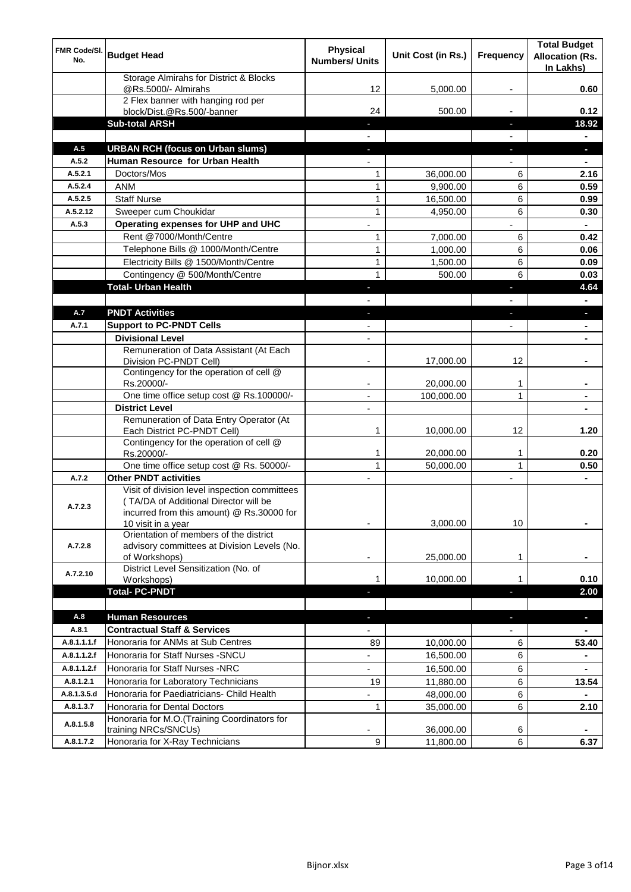| FMR Code/SI.<br>No. | <b>Budget Head</b>                                                                                                                  | <b>Physical</b><br><b>Numbers/ Units</b> | Unit Cost (in Rs.) | <b>Frequency</b>                           | <b>Total Budget</b><br><b>Allocation (Rs.</b><br>In Lakhs) |
|---------------------|-------------------------------------------------------------------------------------------------------------------------------------|------------------------------------------|--------------------|--------------------------------------------|------------------------------------------------------------|
|                     | Storage Almirahs for District & Blocks<br>@Rs.5000/- Almirahs                                                                       | 12                                       | 5,000.00           |                                            | 0.60                                                       |
|                     | 2 Flex banner with hanging rod per<br>block/Dist.@Rs.500/-banner                                                                    | 24                                       | 500.00             |                                            | 0.12                                                       |
|                     | <b>Sub-total ARSH</b>                                                                                                               |                                          |                    | ٠                                          | 18.92                                                      |
|                     |                                                                                                                                     |                                          |                    |                                            | ٠                                                          |
| A.5                 | <b>URBAN RCH (focus on Urban slums)</b>                                                                                             | ٠                                        |                    | ٠                                          | $\blacksquare$                                             |
| A.5.2               | Human Resource for Urban Health                                                                                                     | $\blacksquare$                           |                    | $\overline{\phantom{0}}$                   | $\blacksquare$                                             |
| A.5.2.1             | Doctors/Mos                                                                                                                         | 1                                        | 36,000.00          | 6                                          | 2.16                                                       |
| A.5.2.4             | <b>ANM</b>                                                                                                                          | 1                                        | 9,900.00           | 6                                          | 0.59                                                       |
| A.5.2.5             | <b>Staff Nurse</b>                                                                                                                  | 1                                        | 16,500.00          | 6                                          | 0.99                                                       |
| A.5.2.12            | Sweeper cum Choukidar                                                                                                               | 1                                        | 4,950.00           | 6                                          | 0.30                                                       |
| A.5.3               | Operating expenses for UHP and UHC                                                                                                  | $\overline{a}$                           |                    |                                            | $\blacksquare$                                             |
|                     | Rent @7000/Month/Centre                                                                                                             | 1                                        | 7,000.00           | 6                                          | 0.42                                                       |
|                     | Telephone Bills @ 1000/Month/Centre                                                                                                 | 1                                        | 1,000.00           | 6                                          | 0.06                                                       |
|                     | Electricity Bills @ 1500/Month/Centre                                                                                               | 1                                        | 1,500.00           | 6                                          | 0.09                                                       |
|                     | Contingency @ 500/Month/Centre                                                                                                      | $\mathbf{1}$                             | 500.00             | 6                                          | 0.03                                                       |
|                     | <b>Total- Urban Health</b>                                                                                                          | ٠                                        |                    | ٠                                          | 4.64                                                       |
| A.7                 | <b>PNDT Activities</b>                                                                                                              |                                          |                    |                                            |                                                            |
| A.7.1               | <b>Support to PC-PNDT Cells</b>                                                                                                     | ٠<br>$\overline{\phantom{a}}$            |                    | $\blacksquare$<br>$\overline{\phantom{a}}$ | ٠                                                          |
|                     | <b>Divisional Level</b>                                                                                                             | $\overline{\phantom{a}}$                 |                    |                                            | $\blacksquare$<br>$\blacksquare$                           |
|                     | Remuneration of Data Assistant (At Each                                                                                             |                                          |                    |                                            |                                                            |
|                     | Division PC-PNDT Cell)                                                                                                              |                                          | 17,000.00          | 12                                         |                                                            |
|                     | Contingency for the operation of cell @<br>Rs.20000/-                                                                               | ۰                                        | 20,000.00          | $\mathbf 1$                                | $\blacksquare$                                             |
|                     | One time office setup cost @ Rs.100000/-                                                                                            | $\blacksquare$                           | 100,000.00         | 1                                          | ٠                                                          |
|                     | <b>District Level</b>                                                                                                               | $\overline{\phantom{a}}$                 |                    |                                            | $\blacksquare$                                             |
|                     | Remuneration of Data Entry Operator (At<br>Each District PC-PNDT Cell)                                                              | 1                                        | 10,000.00          | 12                                         | 1.20                                                       |
|                     | Contingency for the operation of cell @<br>Rs.20000/-                                                                               | 1                                        | 20,000.00          | 1                                          | 0.20                                                       |
|                     | One time office setup cost @ Rs. 50000/-                                                                                            | $\mathbf{1}$                             | 50,000.00          | $\mathbf{1}$                               | 0.50                                                       |
| A.7.2               | <b>Other PNDT activities</b>                                                                                                        | $\overline{\phantom{a}}$                 |                    | $\overline{\phantom{a}}$                   | $\blacksquare$                                             |
| A.7.2.3             | Visit of division level inspection committees<br>(TA/DA of Additional Director will be<br>incurred from this amount) @ Rs.30000 for | ۰                                        | 3,000.00           | 10                                         | ۰                                                          |
| A.7.2.8             | 10 visit in a year<br>Orientation of members of the district<br>advisory committees at Division Levels (No.                         |                                          |                    |                                            |                                                            |
|                     | of Workshops)<br>District Level Sensitization (No. of                                                                               |                                          | 25,000.00          | 1                                          |                                                            |
| A.7.2.10            | Workshops)                                                                                                                          | 1                                        | 10,000.00          | 1                                          | 0.10                                                       |
|                     | <b>Total-PC-PNDT</b>                                                                                                                |                                          |                    | Ξ                                          | 2.00                                                       |
|                     |                                                                                                                                     |                                          |                    |                                            |                                                            |
| A.8                 | <b>Human Resources</b>                                                                                                              | ٠                                        |                    | $\blacksquare$                             | Ξ                                                          |
| A.8.1               | <b>Contractual Staff &amp; Services</b>                                                                                             | $\overline{\phantom{a}}$                 |                    |                                            |                                                            |
| A.8.1.1.1.f         | Honoraria for ANMs at Sub Centres                                                                                                   | 89                                       | 10,000.00          | 6                                          | 53.40                                                      |
| A.8.1.1.2.f         | Honoraria for Staff Nurses - SNCU                                                                                                   | $\overline{\phantom{0}}$                 | 16,500.00          | 6                                          | $\blacksquare$                                             |
| A.8.1.1.2.f         | Honoraria for Staff Nurses -NRC                                                                                                     | $\overline{\phantom{0}}$                 | 16,500.00          | 6                                          | ۰                                                          |
| A.8.1.2.1           | Honoraria for Laboratory Technicians                                                                                                | 19                                       | 11,880.00          | 6                                          | 13.54                                                      |
| A.8.1.3.5.d         | Honoraria for Paediatricians- Child Health                                                                                          | $\overline{\phantom{0}}$                 | 48,000.00          | 6                                          |                                                            |
| A.8.1.3.7           | Honoraria for Dental Doctors                                                                                                        | 1                                        | 35,000.00          | 6                                          | 2.10                                                       |
| A.8.1.5.8           | Honoraria for M.O.(Training Coordinators for<br>training NRCs/SNCUs)                                                                |                                          | 36,000.00          | 6                                          |                                                            |
| A.8.1.7.2           | Honoraria for X-Ray Technicians                                                                                                     | 9                                        | 11,800.00          | $6\phantom{1}$                             | 6.37                                                       |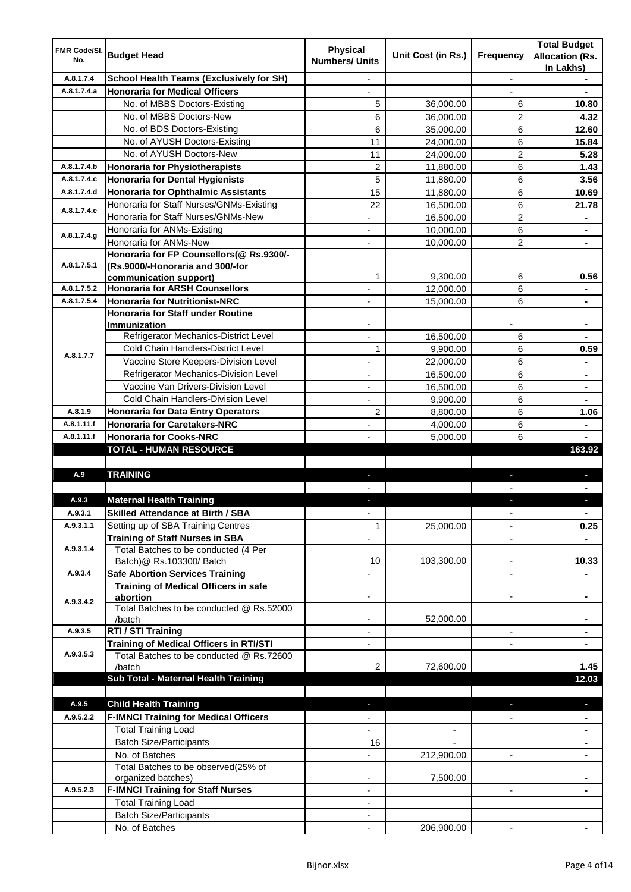| FMR Code/SI.<br>No. | <b>Budget Head</b>                                                           | <b>Physical</b><br><b>Numbers/ Units</b> | Unit Cost (in Rs.) | <b>Frequency</b>         | <b>Total Budget</b><br><b>Allocation (Rs.</b><br>In Lakhs) |
|---------------------|------------------------------------------------------------------------------|------------------------------------------|--------------------|--------------------------|------------------------------------------------------------|
| A.8.1.7.4           | <b>School Health Teams (Exclusively for SH)</b>                              |                                          |                    |                          |                                                            |
| A.8.1.7.4.a         | <b>Honoraria for Medical Officers</b>                                        |                                          |                    |                          |                                                            |
|                     | No. of MBBS Doctors-Existing                                                 | 5                                        | 36,000.00          | 6                        | 10.80                                                      |
|                     | No. of MBBS Doctors-New                                                      | 6                                        | 36,000.00          | $\overline{c}$           | 4.32                                                       |
|                     | No. of BDS Doctors-Existing                                                  | 6                                        | 35,000.00          | 6                        | 12.60                                                      |
|                     | No. of AYUSH Doctors-Existing                                                | 11                                       | 24,000.00          | 6                        | 15.84                                                      |
|                     | No. of AYUSH Doctors-New                                                     | 11                                       | 24,000.00          | 2                        | 5.28                                                       |
| A.8.1.7.4.b         | Honoraria for Physiotherapists                                               | 2                                        | 11,880.00          | 6                        | 1.43                                                       |
| A.8.1.7.4.c         | <b>Honoraria for Dental Hygienists</b>                                       | 5                                        | 11,880.00          | 6                        | 3.56                                                       |
| A.8.1.7.4.d         | Honoraria for Ophthalmic Assistants                                          | 15                                       | 11,880.00          | 6                        | 10.69                                                      |
| A.8.1.7.4.e         | Honoraria for Staff Nurses/GNMs-Existing                                     | 22                                       | 16,500.00          | 6                        | 21.78                                                      |
|                     | Honoraria for Staff Nurses/GNMs-New                                          | $\overline{\phantom{0}}$                 | 16,500.00          | $\overline{2}$           | ۰                                                          |
| A.8.1.7.4.g         | Honoraria for ANMs-Existing                                                  | $\overline{\phantom{0}}$                 | 10,000.00          | 6                        | ٠                                                          |
|                     | Honoraria for ANMs-New                                                       | $\overline{\phantom{a}}$                 | 10,000.00          | $\overline{2}$           | $\blacksquare$                                             |
| A.8.1.7.5.1         | Honoraria for FP Counsellors(@ Rs.9300/-<br>(Rs.9000/-Honoraria and 300/-for |                                          |                    |                          |                                                            |
|                     | communication support)                                                       | 1                                        | 9,300.00           | 6                        | 0.56                                                       |
| A.8.1.7.5.2         | <b>Honoraria for ARSH Counsellors</b>                                        |                                          | 12,000.00          | 6                        |                                                            |
| A.8.1.7.5.4         | <b>Honoraria for Nutritionist-NRC</b>                                        |                                          | 15,000.00          | 6                        |                                                            |
|                     | Honoraria for Staff under Routine                                            |                                          |                    |                          |                                                            |
|                     | <b>Immunization</b>                                                          |                                          |                    |                          |                                                            |
|                     | Refrigerator Mechanics-District Level                                        | ÷,                                       | 16,500.00          | 6                        |                                                            |
|                     | <b>Cold Chain Handlers-District Level</b>                                    | 1                                        | 9,900.00           | 6                        | 0.59                                                       |
| A.8.1.7.7           | Vaccine Store Keepers-Division Level                                         |                                          | 22,000.00          | $\,6$                    |                                                            |
|                     | Refrigerator Mechanics-Division Level                                        |                                          | 16,500.00          | $\,6$                    | ۰                                                          |
|                     | Vaccine Van Drivers-Division Level                                           |                                          | 16,500.00          | $\,6$                    | ۰                                                          |
|                     | Cold Chain Handlers-Division Level                                           |                                          | 9,900.00           | 6                        | ÷                                                          |
| A.8.1.9             | <b>Honoraria for Data Entry Operators</b>                                    | 2                                        | 8,800.00           | 6                        | 1.06                                                       |
| A.8.1.11.f          | <b>Honoraria for Caretakers-NRC</b>                                          |                                          | 4,000.00           | 6                        |                                                            |
| A.8.1.11.f          | <b>Honoraria for Cooks-NRC</b>                                               |                                          | 5,000.00           | 6                        |                                                            |
|                     | <b>TOTAL - HUMAN RESOURCE</b>                                                |                                          |                    |                          | 163.92                                                     |
|                     |                                                                              |                                          |                    |                          |                                                            |
| A.9                 | <b>TRAINING</b>                                                              |                                          |                    |                          |                                                            |
|                     |                                                                              |                                          |                    |                          |                                                            |
| A.9.3               | <b>Maternal Health Training</b>                                              |                                          |                    |                          |                                                            |
| A.Y.3.1             | <b>Skilled Attendance at Birth / SBA</b>                                     |                                          |                    |                          |                                                            |
| A.9.3.1.1           | Setting up of SBA Training Centres                                           | $\mathbf{1}$                             | 25,000.00          |                          | 0.25                                                       |
| A.9.3.1.4           | <b>Training of Staff Nurses in SBA</b>                                       |                                          |                    |                          |                                                            |
|                     | Total Batches to be conducted (4 Per<br>Batch) @ Rs.103300/ Batch            | 10                                       | 103,300.00         | ÷                        | 10.33                                                      |
| A.9.3.4             | <b>Safe Abortion Services Training</b>                                       |                                          |                    | $\overline{\phantom{0}}$ |                                                            |
|                     | <b>Training of Medical Officers in safe</b>                                  |                                          |                    |                          |                                                            |
|                     | abortion                                                                     | -                                        |                    | -                        | ۰                                                          |
| A.9.3.4.2           | Total Batches to be conducted @ Rs.52000                                     |                                          |                    |                          |                                                            |
|                     | /batch                                                                       |                                          | 52,000.00          |                          |                                                            |
| A.9.3.5             | RTI / STI Training                                                           |                                          |                    | $\overline{\phantom{0}}$ |                                                            |
|                     | Training of Medical Officers in RTI/STI                                      |                                          |                    |                          |                                                            |
| A.9.3.5.3           | Total Batches to be conducted @ Rs.72600                                     |                                          |                    |                          |                                                            |
|                     | /batch                                                                       | 2                                        | 72,600.00          |                          | 1.45                                                       |
|                     | Sub Total - Maternal Health Training                                         |                                          |                    |                          | 12.03                                                      |
| A.9.5               |                                                                              |                                          |                    |                          |                                                            |
|                     | <b>Child Health Training</b>                                                 |                                          |                    |                          |                                                            |
| A.9.5.2.2           | <b>F-IMNCI Training for Medical Officers</b><br><b>Total Training Load</b>   |                                          |                    |                          | $\blacksquare$                                             |
|                     | <b>Batch Size/Participants</b>                                               | 16                                       |                    |                          |                                                            |
|                     | No. of Batches                                                               |                                          | 212,900.00         |                          |                                                            |
|                     | Total Batches to be observed(25% of                                          |                                          |                    |                          |                                                            |
|                     | organized batches)                                                           |                                          | 7,500.00           |                          |                                                            |
| A.9.5.2.3           | <b>F-IMNCI Training for Staff Nurses</b>                                     | ٠                                        |                    | $\overline{\phantom{0}}$ |                                                            |
|                     | <b>Total Training Load</b>                                                   | ٠                                        |                    |                          |                                                            |
|                     | <b>Batch Size/Participants</b>                                               |                                          |                    |                          |                                                            |
|                     | No. of Batches                                                               | $\blacksquare$                           | 206,900.00         | $\blacksquare$           |                                                            |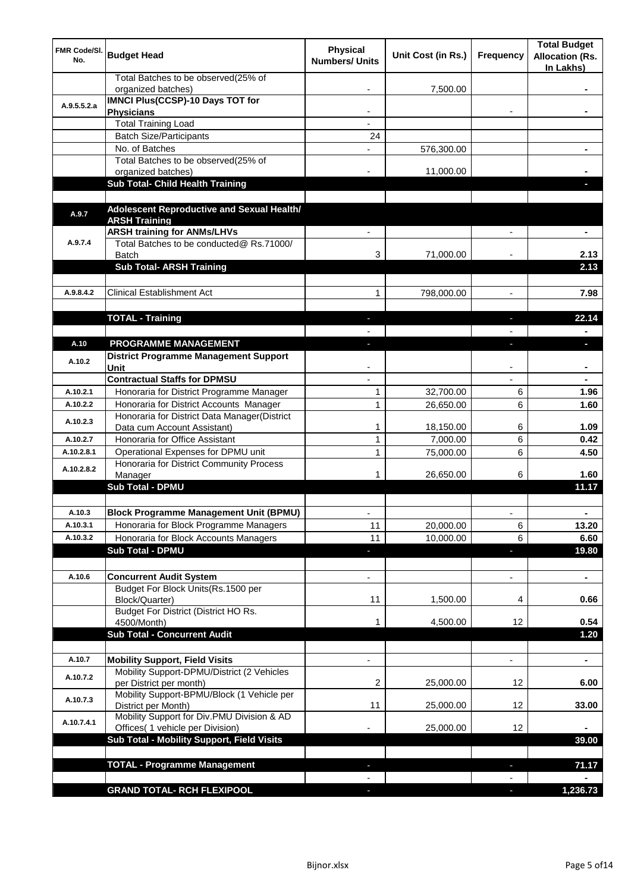| FMR Code/SI.<br>No.    | <b>Budget Head</b>                                                                                       | <b>Physical</b><br><b>Numbers/ Units</b> | Unit Cost (in Rs.)    | <b>Frequency</b>         | <b>Total Budget</b><br><b>Allocation (Rs.</b><br>In Lakhs) |
|------------------------|----------------------------------------------------------------------------------------------------------|------------------------------------------|-----------------------|--------------------------|------------------------------------------------------------|
|                        | Total Batches to be observed(25% of<br>organized batches)                                                |                                          | 7,500.00              |                          |                                                            |
| A.9.5.5.2.a            | <b>IMNCI Plus(CCSP)-10 Days TOT for</b><br><b>Physicians</b>                                             |                                          |                       |                          |                                                            |
|                        | <b>Total Training Load</b>                                                                               |                                          |                       |                          |                                                            |
|                        | <b>Batch Size/Participants</b>                                                                           | 24                                       |                       |                          |                                                            |
|                        | No. of Batches                                                                                           |                                          | 576,300.00            |                          |                                                            |
|                        | Total Batches to be observed(25% of                                                                      |                                          |                       |                          |                                                            |
|                        | organized batches)                                                                                       |                                          | 11,000.00             |                          |                                                            |
|                        | Sub Total- Child Health Training                                                                         |                                          |                       |                          |                                                            |
| A.9.7                  | Adolescent Reproductive and Sexual Health/<br><b>ARSH Training</b><br><b>ARSH training for ANMs/LHVs</b> |                                          |                       |                          |                                                            |
| A.9.7.4                | Total Batches to be conducted@ Rs.71000/<br><b>Batch</b>                                                 | 3                                        | 71,000.00             |                          | 2.13                                                       |
|                        | <b>Sub Total- ARSH Training</b>                                                                          |                                          |                       |                          | 2.13                                                       |
|                        |                                                                                                          |                                          |                       |                          |                                                            |
| A.9.8.4.2              | <b>Clinical Establishment Act</b>                                                                        | 1                                        | 798,000.00            |                          | 7.98                                                       |
|                        |                                                                                                          |                                          |                       |                          |                                                            |
|                        | <b>TOTAL - Training</b>                                                                                  | ٠                                        |                       | ٠                        | 22.14                                                      |
|                        |                                                                                                          |                                          |                       |                          |                                                            |
| A.10                   | PROGRAMME MANAGEMENT                                                                                     | L.                                       |                       | $\overline{\phantom{a}}$ | п                                                          |
| A.10.2                 | <b>District Programme Management Support</b><br>Unit                                                     |                                          |                       |                          |                                                            |
|                        | <b>Contractual Staffs for DPMSU</b>                                                                      |                                          |                       |                          |                                                            |
| A.10.2.1               | Honoraria for District Programme Manager                                                                 | 1                                        | 32,700.00             | 6                        | 1.96                                                       |
| A.10.2.2               | Honoraria for District Accounts Manager                                                                  | 1                                        | 26,650.00             | 6                        | 1.60                                                       |
| A.10.2.3               | Honoraria for District Data Manager(District                                                             |                                          |                       |                          |                                                            |
|                        | Data cum Account Assistant)<br>Honoraria for Office Assistant                                            | 1                                        | 18,150.00             | 6                        | 1.09                                                       |
| A.10.2.7<br>A.10.2.8.1 | Operational Expenses for DPMU unit                                                                       | 1<br>1                                   | 7,000.00<br>75,000.00 | 6<br>6                   | 0.42                                                       |
|                        | Honoraria for District Community Process                                                                 |                                          |                       |                          | 4.50                                                       |
| A.10.2.8.2             | Manager<br><b>Sub Total - DPMU</b>                                                                       |                                          | 26,650.00             | 6                        | 1.60<br>11.17                                              |
|                        |                                                                                                          |                                          |                       |                          |                                                            |
| A.10.3                 | <b>Block Programme Management Unit (BPMU)</b>                                                            |                                          |                       |                          |                                                            |
| A.10.3.1               | Honoraria for Block Programme Managers                                                                   | 11                                       | 20,000.00             | 6                        | 13.20                                                      |
| A.10.3.2               | Honoraria for Block Accounts Managers                                                                    | 11                                       | 10,000.00             | 6                        | 6.60                                                       |
|                        | <b>Sub Total - DPMU</b>                                                                                  | E.                                       |                       | ÷,                       | 19.80                                                      |
| A.10.6                 | <b>Concurrent Audit System</b>                                                                           |                                          |                       |                          | ٠                                                          |
|                        | Budget For Block Units(Rs.1500 per<br>Block/Quarter)                                                     | 11                                       | 1,500.00              | 4                        | 0.66                                                       |
|                        | Budget For District (District HO Rs.<br>4500/Month)                                                      | 1                                        | 4,500.00              | 12                       | 0.54                                                       |
|                        | <b>Sub Total - Concurrent Audit</b>                                                                      |                                          |                       |                          | 1.20                                                       |
|                        |                                                                                                          |                                          |                       |                          |                                                            |
| A.10.7                 | <b>Mobility Support, Field Visits</b>                                                                    |                                          |                       |                          | ٠                                                          |
| A.10.7.2               | Mobility Support-DPMU/District (2 Vehicles<br>per District per month)                                    | 2                                        | 25,000.00             | 12                       | 6.00                                                       |
| A.10.7.3               | Mobility Support-BPMU/Block (1 Vehicle per<br>District per Month)                                        | 11                                       | 25,000.00             | 12                       | 33.00                                                      |
| A.10.7.4.1             | Mobility Support for Div.PMU Division & AD<br>Offices( 1 vehicle per Division)                           |                                          | 25,000.00             | 12                       |                                                            |
|                        | Sub Total - Mobility Support, Field Visits                                                               |                                          |                       |                          | 39.00                                                      |
|                        |                                                                                                          |                                          |                       |                          |                                                            |
|                        | <b>TOTAL - Programme Management</b>                                                                      |                                          |                       | $\overline{\phantom{a}}$ | 71.17                                                      |
|                        |                                                                                                          |                                          |                       |                          |                                                            |
|                        | <b>GRAND TOTAL- RCH FLEXIPOOL</b>                                                                        |                                          |                       | F                        | 1,236.73                                                   |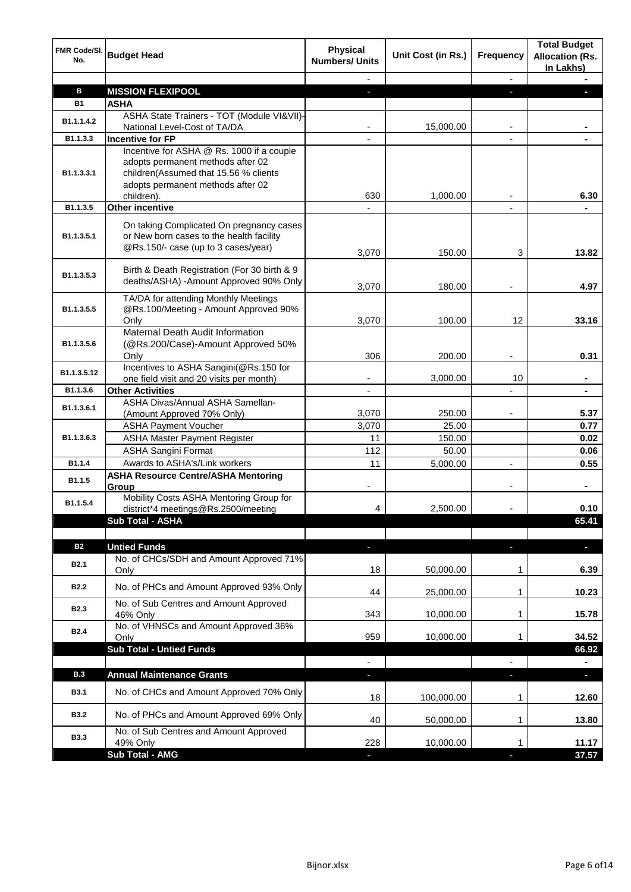| <b>FMR Code/SI.</b><br>No. | <b>Budget Head</b>                                                                                                                                                         | <b>Physical</b><br><b>Numbers/ Units</b> | Unit Cost (in Rs.) | <b>Frequency</b> | <b>Total Budget</b><br><b>Allocation (Rs.</b><br>In Lakhs) |
|----------------------------|----------------------------------------------------------------------------------------------------------------------------------------------------------------------------|------------------------------------------|--------------------|------------------|------------------------------------------------------------|
|                            |                                                                                                                                                                            |                                          |                    | $\blacksquare$   |                                                            |
| в                          | <b>MISSION FLEXIPOOL</b>                                                                                                                                                   | ٠                                        |                    |                  |                                                            |
| <b>B1</b>                  | <b>ASHA</b>                                                                                                                                                                |                                          |                    |                  |                                                            |
| B1.1.1.4.2                 | ASHA State Trainers - TOT (Module VI&VII)-<br>National Level-Cost of TA/DA                                                                                                 |                                          | 15,000.00          |                  |                                                            |
| B1.1.3.3                   | <b>Incentive for FP</b>                                                                                                                                                    |                                          |                    |                  |                                                            |
| B <sub>1.1</sub> .3.3.1    | Incentive for ASHA @ Rs. 1000 if a couple<br>adopts permanent methods after 02<br>children(Assumed that 15.56 % clients<br>adopts permanent methods after 02<br>children). | 630                                      | 1,000.00           |                  | 6.30                                                       |
| B1.1.3.5                   | <b>Other incentive</b>                                                                                                                                                     |                                          |                    |                  |                                                            |
| B1.1.3.5.1                 | On taking Complicated On pregnancy cases<br>or New born cases to the health facility<br>@Rs.150/- case (up to 3 cases/year)                                                | 3,070                                    | 150.00             | 3                | 13.82                                                      |
| B1.1.3.5.3                 | Birth & Death Registration (For 30 birth & 9<br>deaths/ASHA) - Amount Approved 90% Only                                                                                    | 3,070                                    | 180.00             |                  | 4.97                                                       |
| B1.1.3.5.5                 | TA/DA for attending Monthly Meetings<br>@Rs.100/Meeting - Amount Approved 90%<br>Only                                                                                      | 3,070                                    | 100.00             | 12               | 33.16                                                      |
| B1.1.3.5.6                 | Maternal Death Audit Information<br>(@Rs.200/Case)-Amount Approved 50%<br>Only                                                                                             | 306                                      | 200.00             |                  | 0.31                                                       |
| B1.1.3.5.12                | Incentives to ASHA Sangini(@Rs.150 for<br>one field visit and 20 visits per month)                                                                                         |                                          | 3,000.00           | 10               |                                                            |
| B1.1.3.6                   | <b>Other Activities</b>                                                                                                                                                    |                                          |                    |                  |                                                            |
| B1.1.3.6.1                 | ASHA Divas/Annual ASHA Samellan-<br>(Amount Approved 70% Only)                                                                                                             | 3,070                                    | 250.00             |                  | 5.37                                                       |
|                            | <b>ASHA Payment Voucher</b>                                                                                                                                                | 3,070                                    | 25.00              |                  | 0.77                                                       |
| B1.1.3.6.3                 | <b>ASHA Master Payment Register</b>                                                                                                                                        | 11                                       | 150.00             |                  | 0.02                                                       |
|                            | <b>ASHA Sangini Format</b>                                                                                                                                                 | 112                                      | 50.00              |                  | 0.06                                                       |
| B1.1.4                     | Awards to ASHA's/Link workers                                                                                                                                              | 11                                       | 5,000.00           |                  | 0.55                                                       |
| B1.1.5                     | <b>ASHA Resource Centre/ASHA Mentoring</b><br>Group                                                                                                                        |                                          |                    |                  | ä,                                                         |
| B1.1.5.4                   | Mobility Costs ASHA Mentoring Group for<br>district*4 meetings@Rs.2500/meeting                                                                                             | 4                                        | 2,500.00           |                  | 0.10                                                       |
|                            | Sub Total - ASHA                                                                                                                                                           |                                          |                    |                  | 65.41                                                      |
|                            |                                                                                                                                                                            |                                          |                    |                  |                                                            |
| <b>B2</b>                  | <b>Untied Funds</b>                                                                                                                                                        | ٠                                        |                    | J,               | J,                                                         |
| <b>B2.1</b>                | No. of CHCs/SDH and Amount Approved 71%<br>Only                                                                                                                            | 18                                       | 50,000.00          | 1                | 6.39                                                       |
| <b>B2.2</b>                | No. of PHCs and Amount Approved 93% Only                                                                                                                                   | 44                                       | 25,000.00          | 1                | 10.23                                                      |
| <b>B2.3</b>                | No. of Sub Centres and Amount Approved<br>46% Only                                                                                                                         | 343                                      | 10,000.00          | 1                | 15.78                                                      |
| <b>B2.4</b>                | No. of VHNSCs and Amount Approved 36%<br>Only                                                                                                                              | 959                                      | 10,000.00          | 1                | 34.52                                                      |
|                            | <b>Sub Total - Untied Funds</b>                                                                                                                                            | $\blacksquare$                           |                    | $\blacksquare$   | 66.92                                                      |
| <b>B.3</b>                 | <b>Annual Maintenance Grants</b>                                                                                                                                           | ٠                                        |                    | ٠                | $\blacksquare$                                             |
| <b>B3.1</b>                | No. of CHCs and Amount Approved 70% Only                                                                                                                                   | 18                                       | 100,000.00         | 1                | 12.60                                                      |
| <b>B3.2</b>                | No. of PHCs and Amount Approved 69% Only                                                                                                                                   | 40                                       | 50,000.00          | 1                | 13.80                                                      |
| <b>B3.3</b>                | No. of Sub Centres and Amount Approved<br>49% Only                                                                                                                         | 228                                      | 10,000.00          | 1                | 11.17                                                      |
|                            | <b>Sub Total - AMG</b>                                                                                                                                                     |                                          |                    |                  | 37.57                                                      |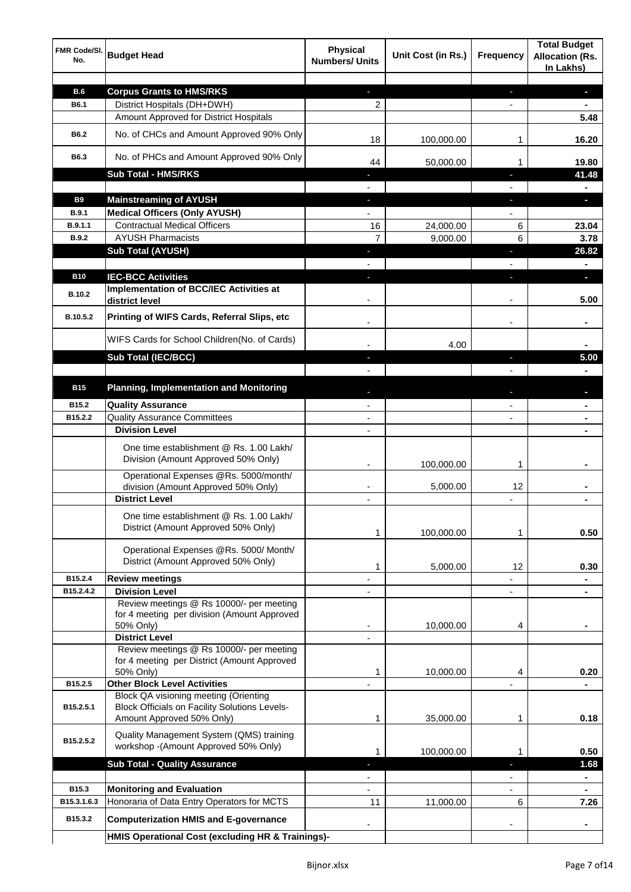| FMR Code/SI.<br>No. | <b>Budget Head</b>                                                                | <b>Physical</b><br><b>Numbers/ Units</b> | Unit Cost (in Rs.) | <b>Frequency</b>         | <b>Total Budget</b><br><b>Allocation (Rs.</b><br>In Lakhs) |
|---------------------|-----------------------------------------------------------------------------------|------------------------------------------|--------------------|--------------------------|------------------------------------------------------------|
|                     |                                                                                   |                                          |                    |                          |                                                            |
| <b>B.6</b>          | <b>Corpus Grants to HMS/RKS</b>                                                   | ÷.                                       |                    | ÷                        | $\blacksquare$                                             |
| <b>B6.1</b>         | District Hospitals (DH+DWH)                                                       | 2                                        |                    | $\overline{\phantom{a}}$ | $\blacksquare$                                             |
|                     | Amount Approved for District Hospitals                                            |                                          |                    |                          | 5.48                                                       |
| <b>B6.2</b>         | No. of CHCs and Amount Approved 90% Only                                          | 18                                       | 100,000.00         | 1                        | 16.20                                                      |
| B6.3                | No. of PHCs and Amount Approved 90% Only                                          | 44                                       | 50,000.00          | 1                        | 19.80                                                      |
|                     | <b>Sub Total - HMS/RKS</b>                                                        | $\overline{\phantom{a}}$                 |                    | J,                       | 41.48                                                      |
|                     |                                                                                   |                                          |                    |                          | $\blacksquare$                                             |
| <b>B9</b>           | <b>Mainstreaming of AYUSH</b>                                                     | ÷.                                       |                    | ٠                        | $\blacksquare$                                             |
| <b>B.9.1</b>        | <b>Medical Officers (Only AYUSH)</b>                                              | $\blacksquare$                           |                    | $\overline{\phantom{a}}$ |                                                            |
| B.9.1.1             | <b>Contractual Medical Officers</b>                                               | 16                                       | 24,000.00          | 6                        | 23.04                                                      |
| <b>B.9.2</b>        | <b>AYUSH Pharmacists</b>                                                          | 7                                        | 9,000.00           | 6                        | 3.78                                                       |
|                     | <b>Sub Total (AYUSH)</b>                                                          | $\blacksquare$                           |                    | $\blacksquare$           | 26.82                                                      |
|                     |                                                                                   |                                          |                    |                          | $\blacksquare$                                             |
| <b>B10</b>          | <b>IEC-BCC Activities</b>                                                         | E.                                       |                    | ı                        | $\blacksquare$                                             |
| B.10.2              | <b>Implementation of BCC/IEC Activities at</b><br>district level                  |                                          |                    |                          | 5.00                                                       |
| B.10.5.2            | Printing of WIFS Cards, Referral Slips, etc                                       |                                          |                    |                          | $\blacksquare$                                             |
|                     | WIFS Cards for School Children(No. of Cards)                                      |                                          | 4.00               |                          |                                                            |
|                     | <b>Sub Total (IEC/BCC)</b>                                                        |                                          |                    | T                        | 5.00                                                       |
|                     |                                                                                   |                                          |                    |                          |                                                            |
| <b>B15</b>          | <b>Planning, Implementation and Monitoring</b>                                    |                                          |                    |                          |                                                            |
| B15.2               | <b>Quality Assurance</b>                                                          |                                          |                    |                          |                                                            |
| B15.2.2             | <b>Quality Assurance Committees</b>                                               |                                          |                    |                          |                                                            |
|                     | <b>Division Level</b>                                                             |                                          |                    |                          |                                                            |
|                     |                                                                                   |                                          |                    |                          |                                                            |
|                     | One time establishment @ Rs. 1.00 Lakh/<br>Division (Amount Approved 50% Only)    |                                          | 100,000.00         | 1                        |                                                            |
|                     | Operational Expenses @Rs. 5000/month/                                             |                                          |                    |                          |                                                            |
|                     | division (Amount Approved 50% Only)                                               |                                          | 5,000.00           | 12                       |                                                            |
|                     | <b>District Level</b>                                                             | $\blacksquare$                           |                    |                          |                                                            |
|                     | One time establishment @ Rs. 1.00 Lakh/                                           |                                          |                    |                          |                                                            |
|                     | District (Amount Approved 50% Only)                                               |                                          |                    |                          |                                                            |
|                     |                                                                                   |                                          | 100,000.00         | 1                        | 0.50                                                       |
|                     | Operational Expenses @Rs. 5000/ Month/                                            |                                          |                    |                          |                                                            |
|                     | District (Amount Approved 50% Only)                                               | 1                                        | 5,000.00           | 12                       | 0.30                                                       |
| B15.2.4             | <b>Review meetings</b>                                                            |                                          |                    |                          |                                                            |
| B15.2.4.2           | <b>Division Level</b>                                                             |                                          |                    | L,                       |                                                            |
|                     | Review meetings @ Rs 10000/- per meeting                                          |                                          |                    |                          |                                                            |
|                     | for 4 meeting per division (Amount Approved                                       |                                          |                    |                          |                                                            |
|                     | 50% Only)                                                                         | -                                        | 10,000.00          | 4                        | ٠                                                          |
|                     | <b>District Level</b>                                                             |                                          |                    |                          |                                                            |
|                     | Review meetings @ Rs 10000/- per meeting                                          |                                          |                    |                          |                                                            |
|                     | for 4 meeting per District (Amount Approved                                       |                                          |                    |                          |                                                            |
|                     | 50% Only)                                                                         | 1                                        | 10,000.00          | 4                        | 0.20                                                       |
| B15.2.5             | <b>Other Block Level Activities</b>                                               |                                          |                    |                          |                                                            |
| B15.2.5.1           | <b>Block QA visioning meeting (Orienting</b>                                      |                                          |                    |                          |                                                            |
|                     | <b>Block Officials on Facility Solutions Levels-</b><br>Amount Approved 50% Only) | 1                                        | 35,000.00          | 1                        | 0.18                                                       |
|                     |                                                                                   |                                          |                    |                          |                                                            |
| B15.2.5.2           | Quality Management System (QMS) training<br>workshop -(Amount Approved 50% Only)  |                                          |                    |                          |                                                            |
|                     |                                                                                   | 1                                        | 100,000.00         | 1                        | 0.50                                                       |
|                     | <b>Sub Total - Quality Assurance</b>                                              | ı                                        |                    | J,                       | 1.68                                                       |
|                     |                                                                                   |                                          |                    |                          |                                                            |
| B <sub>15.3</sub>   | <b>Monitoring and Evaluation</b>                                                  |                                          |                    |                          |                                                            |
| B15.3.1.6.3         | Honoraria of Data Entry Operators for MCTS                                        | 11                                       | 11,000.00          | 6                        | 7.26                                                       |
| B15.3.2             | <b>Computerization HMIS and E-governance</b>                                      |                                          |                    |                          |                                                            |
|                     | HMIS Operational Cost (excluding HR & Trainings)-                                 |                                          |                    |                          |                                                            |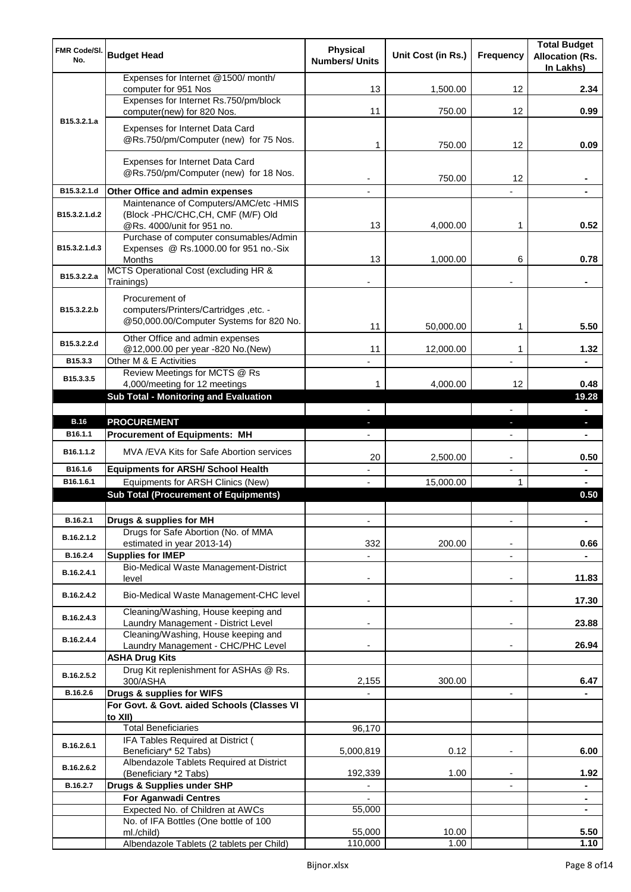| <b>FMR Code/SI.</b><br>No. | <b>Budget Head</b>                                                               | <b>Physical</b><br><b>Numbers/ Units</b> | Unit Cost (in Rs.) | <b>Frequency</b>         | <b>Total Budget</b><br><b>Allocation (Rs.</b><br>In Lakhs) |
|----------------------------|----------------------------------------------------------------------------------|------------------------------------------|--------------------|--------------------------|------------------------------------------------------------|
|                            | Expenses for Internet @1500/ month/<br>computer for 951 Nos                      | 13                                       | 1,500.00           | 12                       | 2.34                                                       |
|                            | Expenses for Internet Rs.750/pm/block                                            |                                          |                    |                          |                                                            |
| B <sub>15</sub> .3.2.1.a   | computer(new) for 820 Nos.                                                       | 11                                       | 750.00             | 12                       | 0.99                                                       |
|                            | Expenses for Internet Data Card<br>@Rs.750/pm/Computer (new) for 75 Nos.         | 1                                        | 750.00             | 12                       | 0.09                                                       |
|                            |                                                                                  |                                          |                    |                          |                                                            |
|                            | Expenses for Internet Data Card<br>@Rs.750/pm/Computer (new) for 18 Nos.         |                                          | 750.00             | 12                       |                                                            |
| B15.3.2.1.d                | Other Office and admin expenses                                                  |                                          |                    |                          |                                                            |
| B15.3.2.1.d.2              | Maintenance of Computers/AMC/etc -HMIS<br>(Block -PHC/CHC,CH, CMF (M/F) Old      |                                          |                    |                          |                                                            |
|                            | @Rs. 4000/unit for 951 no.<br>Purchase of computer consumables/Admin             | 13                                       | 4,000.00           | 1                        | 0.52                                                       |
| B15.3.2.1.d.3              | Expenses @ Rs.1000.00 for 951 no.-Six                                            |                                          |                    |                          |                                                            |
|                            | <b>Months</b><br>MCTS Operational Cost (excluding HR &                           | 13                                       | 1,000.00           | 6                        | 0.78                                                       |
| B15.3.2.2.a                | Trainings)                                                                       |                                          |                    |                          | $\blacksquare$                                             |
|                            | Procurement of                                                                   |                                          |                    |                          |                                                            |
| B15.3.2.2.b                | computers/Printers/Cartridges, etc. -<br>@50,000.00/Computer Systems for 820 No. |                                          |                    |                          |                                                            |
|                            |                                                                                  | 11                                       | 50,000.00          | 1                        | 5.50                                                       |
| B15.3.2.2.d                | Other Office and admin expenses<br>@12,000.00 per year -820 No.(New)             | 11                                       | 12,000.00          | 1                        | 1.32                                                       |
| B15.3.3                    | Other M & E Activities                                                           |                                          |                    |                          |                                                            |
| B15.3.3.5                  | Review Meetings for MCTS @ Rs                                                    |                                          |                    |                          |                                                            |
|                            | 4,000/meeting for 12 meetings<br><b>Sub Total - Monitoring and Evaluation</b>    | 1                                        | 4,000.00           | 12                       | 0.48<br>19.28                                              |
|                            |                                                                                  |                                          |                    | L.                       | $\blacksquare$                                             |
| <b>B.16</b>                | <b>PROCUREMENT</b>                                                               |                                          |                    | $\overline{\phantom{a}}$ | $\blacksquare$                                             |
| B <sub>16.1.1</sub>        | <b>Procurement of Equipments: MH</b>                                             |                                          |                    | $\blacksquare$           | $\blacksquare$                                             |
| B16.1.1.2                  | MVA /EVA Kits for Safe Abortion services                                         | 20                                       | 2,500.00           |                          | 0.50                                                       |
| B16.1.6                    | <b>Equipments for ARSH/ School Health</b>                                        |                                          |                    | L,                       | $\blacksquare$                                             |
| B16.1.6.1                  | Equipments for ARSH Clinics (New)                                                |                                          | 15,000.00          |                          |                                                            |
|                            | <b>Sub Total (Procurement of Equipments)</b>                                     |                                          |                    |                          | 0.50                                                       |
| B.16.2.1                   | Drugs & supplies for MH                                                          | ٠                                        |                    | L,                       |                                                            |
| B.16.2.1.2                 | Drugs for Safe Abortion (No. of MMA<br>estimated in year 2013-14)                | 332                                      | 200.00             |                          | 0.66                                                       |
| B.16.2.4                   | <b>Supplies for IMEP</b>                                                         |                                          |                    | ÷,                       |                                                            |
| B.16.2.4.1                 | Bio-Medical Waste Management-District<br>level                                   |                                          |                    |                          | 11.83                                                      |
| B.16.2.4.2                 | Bio-Medical Waste Management-CHC level                                           |                                          |                    | ٠                        | 17.30                                                      |
| B.16.2.4.3                 | Cleaning/Washing, House keeping and<br>Laundry Management - District Level       |                                          |                    | ٠                        | 23.88                                                      |
| B.16.2.4.4                 | Cleaning/Washing, House keeping and<br>Laundry Management - CHC/PHC Level        |                                          |                    |                          | 26.94                                                      |
|                            | <b>ASHA Drug Kits</b>                                                            |                                          |                    |                          |                                                            |
| B.16.2.5.2                 | Drug Kit replenishment for ASHAs @ Rs.<br>300/ASHA                               | 2,155                                    | 300.00             |                          | 6.47                                                       |
| B.16.2.6                   | Drugs & supplies for WIFS                                                        |                                          |                    | $\overline{\phantom{0}}$ |                                                            |
|                            | For Govt. & Govt. aided Schools (Classes VI<br>to XII)                           |                                          |                    |                          |                                                            |
|                            | <b>Total Beneficiaries</b>                                                       | 96,170                                   |                    |                          |                                                            |
| B.16.2.6.1                 | IFA Tables Required at District (<br>Beneficiary* 52 Tabs)                       | 5,000,819                                | 0.12               | ٠                        | 6.00                                                       |
| B.16.2.6.2                 | Albendazole Tablets Required at District<br>(Beneficiary *2 Tabs)                | 192,339                                  | 1.00               |                          | 1.92                                                       |
| B.16.2.7                   | Drugs & Supplies under SHP                                                       |                                          |                    |                          |                                                            |
|                            | <b>For Aganwadi Centres</b>                                                      |                                          |                    |                          |                                                            |
|                            | Expected No. of Children at AWCs<br>No. of IFA Bottles (One bottle of 100        | 55,000                                   |                    |                          | $\blacksquare$                                             |
|                            | ml./child)                                                                       | 55,000                                   | 10.00              |                          | 5.50                                                       |
|                            | Albendazole Tablets (2 tablets per Child)                                        | 110,000                                  | 1.00               |                          | 1.10                                                       |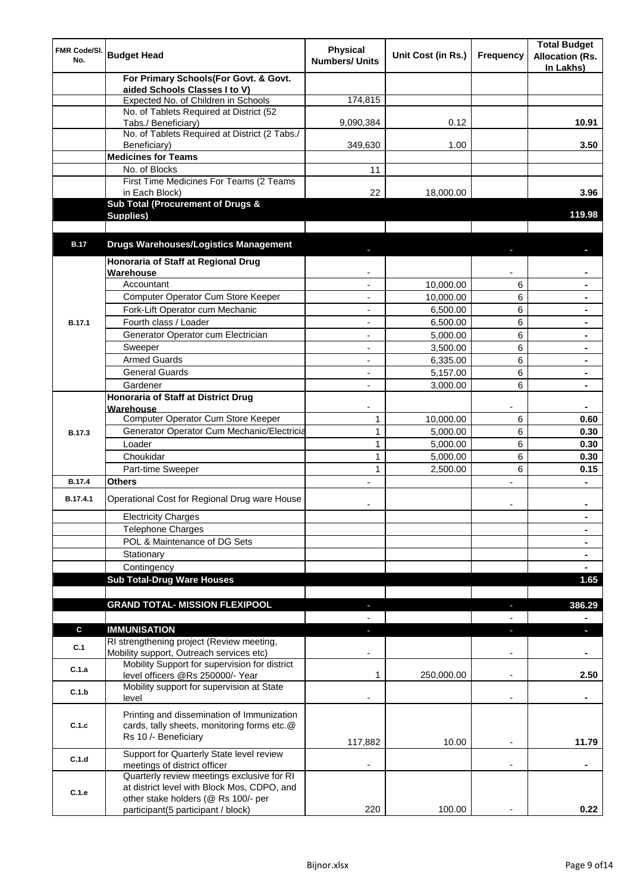| FMR Code/SI.<br>No. | <b>Budget Head</b>                                                                    | <b>Physical</b><br><b>Numbers/ Units</b> | Unit Cost (in Rs.) | <b>Frequency</b>         | <b>Total Budget</b><br><b>Allocation (Rs.</b><br>In Lakhs) |
|---------------------|---------------------------------------------------------------------------------------|------------------------------------------|--------------------|--------------------------|------------------------------------------------------------|
|                     | For Primary Schools(For Govt. & Govt.                                                 |                                          |                    |                          |                                                            |
|                     | aided Schools Classes I to V)<br>Expected No. of Children in Schools                  | 174,815                                  |                    |                          |                                                            |
|                     | No. of Tablets Required at District (52                                               |                                          |                    |                          |                                                            |
|                     | Tabs./ Beneficiary)                                                                   | 9,090,384                                | 0.12               |                          | 10.91                                                      |
|                     | No. of Tablets Required at District (2 Tabs./                                         |                                          |                    |                          |                                                            |
|                     | Beneficiary)                                                                          | 349,630                                  | 1.00               |                          | 3.50                                                       |
|                     | <b>Medicines for Teams</b>                                                            |                                          |                    |                          |                                                            |
|                     | No. of Blocks                                                                         | 11                                       |                    |                          |                                                            |
|                     | First Time Medicines For Teams (2 Teams<br>in Each Block)                             | 22                                       | 18,000.00          |                          | 3.96                                                       |
|                     | <b>Sub Total (Procurement of Drugs &amp;</b>                                          |                                          |                    |                          |                                                            |
|                     | Supplies)                                                                             |                                          |                    |                          | 119.98                                                     |
|                     |                                                                                       |                                          |                    |                          |                                                            |
| <b>B.17</b>         | <b>Drugs Warehouses/Logistics Management</b>                                          |                                          |                    |                          |                                                            |
|                     | Honoraria of Staff at Regional Drug                                                   |                                          |                    |                          |                                                            |
|                     | Warehouse                                                                             |                                          |                    |                          |                                                            |
|                     | Accountant                                                                            |                                          | 10,000.00          | 6                        |                                                            |
|                     | Computer Operator Cum Store Keeper                                                    | $\overline{a}$                           | 10,000.00          | 6                        |                                                            |
|                     | Fork-Lift Operator cum Mechanic                                                       | $\blacksquare$                           | 6,500.00           | 6                        |                                                            |
| B.17.1              | Fourth class / Loader                                                                 | $\blacksquare$                           | 6,500.00           | 6                        | $\blacksquare$                                             |
|                     | Generator Operator cum Electrician                                                    | $\blacksquare$                           | 5,000.00           | 6                        | $\blacksquare$                                             |
|                     | Sweeper                                                                               | $\blacksquare$                           | 3,500.00           | 6                        |                                                            |
|                     | <b>Armed Guards</b>                                                                   |                                          | 6,335.00           | 6                        |                                                            |
|                     | <b>General Guards</b>                                                                 |                                          | 5,157.00           | 6                        |                                                            |
|                     | Gardener                                                                              |                                          | 3,000.00           | 6                        |                                                            |
|                     | <b>Honoraria of Staff at District Drug</b><br>Warehouse                               |                                          |                    |                          |                                                            |
|                     | Computer Operator Cum Store Keeper                                                    | $\mathbf{1}$                             | 10,000.00          | 6                        | 0.60                                                       |
| B.17.3              | Generator Operator Cum Mechanic/Electricia                                            | $\mathbf{1}$                             | 5,000.00           | 6                        | 0.30                                                       |
|                     | Loader                                                                                | $\mathbf{1}$                             | 5,000.00           | 6                        | 0.30                                                       |
|                     | Choukidar                                                                             | $\mathbf{1}$                             | 5,000.00           | 6                        | 0.30                                                       |
|                     | Part-time Sweeper                                                                     | $\mathbf{1}$                             | 2,500.00           | 6                        | 0.15                                                       |
| <b>B.17.4</b>       | <b>Others</b>                                                                         |                                          |                    |                          |                                                            |
| B.17.4.1            | Operational Cost for Regional Drug ware House                                         |                                          |                    |                          |                                                            |
|                     | <b>Electricity Charges</b>                                                            |                                          |                    |                          | $\blacksquare$                                             |
|                     | <b>Telephone Charges</b>                                                              |                                          |                    |                          | ۰                                                          |
|                     | POL & Maintenance of DG Sets                                                          |                                          |                    |                          | $\blacksquare$                                             |
|                     | Stationary                                                                            |                                          |                    |                          | $\blacksquare$                                             |
|                     | Contingency                                                                           |                                          |                    |                          | $\blacksquare$                                             |
|                     | <b>Sub Total-Drug Ware Houses</b>                                                     |                                          |                    |                          | 1.65                                                       |
|                     |                                                                                       |                                          |                    |                          |                                                            |
|                     | <b>GRAND TOTAL- MISSION FLEXIPOOL</b>                                                 | ٠                                        |                    | $\blacksquare$           | 386.29                                                     |
|                     |                                                                                       |                                          |                    |                          | ۰                                                          |
| $\mathbf c$         | <b>IMMUNISATION</b>                                                                   | ÷.                                       |                    | ÷                        | $\blacksquare$                                             |
| C.1                 | RI strengthening project (Review meeting,<br>Mobility support, Outreach services etc) |                                          |                    | ٠                        |                                                            |
| C.1.a               | Mobility Support for supervision for district<br>level officers @Rs 250000/- Year     | 1                                        | 250,000.00         | $\overline{\phantom{a}}$ | 2.50                                                       |
|                     | Mobility support for supervision at State                                             |                                          |                    |                          |                                                            |
| C.1.b               | level                                                                                 |                                          |                    | $\blacksquare$           |                                                            |
|                     | Printing and dissemination of Immunization                                            |                                          |                    |                          |                                                            |
| C.1.c               | cards, tally sheets, monitoring forms etc.@<br>Rs 10 /- Beneficiary                   |                                          |                    |                          |                                                            |
|                     |                                                                                       | 117,882                                  | 10.00              |                          | 11.79                                                      |
| C.1.d               | Support for Quarterly State level review                                              |                                          |                    |                          |                                                            |
|                     | meetings of district officer<br>Quarterly review meetings exclusive for RI            |                                          |                    |                          |                                                            |
|                     | at district level with Block Mos, CDPO, and                                           |                                          |                    |                          |                                                            |
| C.1.e               | other stake holders (@ Rs 100/- per                                                   |                                          |                    |                          |                                                            |
|                     | participant(5 participant / block)                                                    | 220                                      | 100.00             |                          | 0.22                                                       |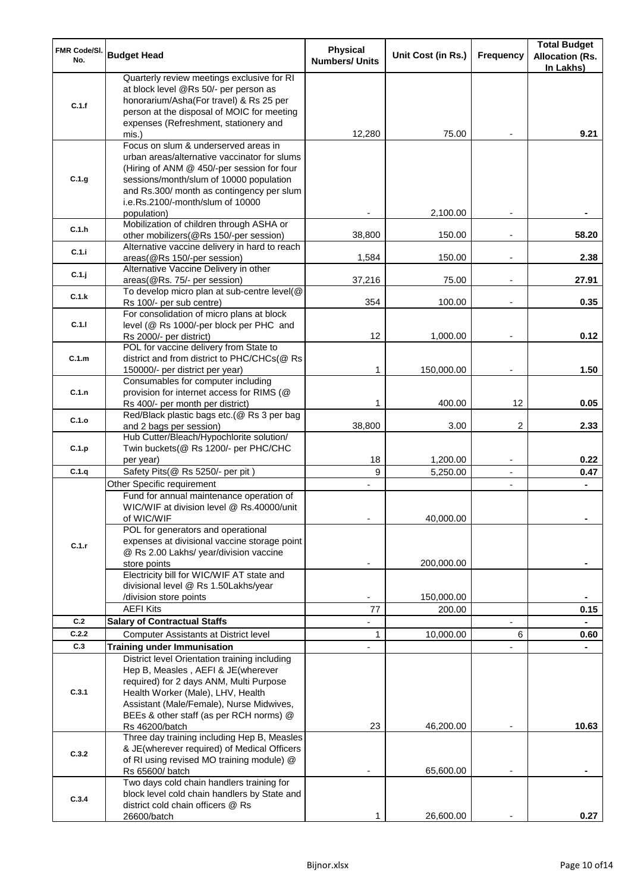| FMR Code/SI.<br>No. | <b>Budget Head</b>                                                                                                                                                                                                                                             | <b>Physical</b><br><b>Numbers/ Units</b> | Unit Cost (in Rs.)     | <b>Frequency</b> | <b>Total Budget</b><br><b>Allocation (Rs.</b><br>In Lakhs) |
|---------------------|----------------------------------------------------------------------------------------------------------------------------------------------------------------------------------------------------------------------------------------------------------------|------------------------------------------|------------------------|------------------|------------------------------------------------------------|
| C.1.f               | Quarterly review meetings exclusive for RI<br>at block level @Rs 50/- per person as<br>honorarium/Asha(For travel) & Rs 25 per<br>person at the disposal of MOIC for meeting<br>expenses (Refreshment, stationery and<br>mis.)                                 | 12,280                                   | 75.00                  |                  | 9.21                                                       |
| C.1.g               | Focus on slum & underserved areas in<br>urban areas/alternative vaccinator for slums<br>(Hiring of ANM @ 450/-per session for four<br>sessions/month/slum of 10000 population<br>and Rs.300/ month as contingency per slum<br>i.e.Rs.2100/-month/slum of 10000 |                                          |                        |                  |                                                            |
| C.1.h               | population)<br>Mobilization of children through ASHA or<br>other mobilizers(@Rs 150/-per session)                                                                                                                                                              | 38,800                                   | 2,100.00<br>150.00     |                  | 58.20                                                      |
| C.1.i               | Alternative vaccine delivery in hard to reach<br>areas(@Rs 150/-per session)                                                                                                                                                                                   | 1,584                                    | 150.00                 |                  | 2.38                                                       |
| C.1.j               | Alternative Vaccine Delivery in other<br>areas(@Rs. 75/- per session)                                                                                                                                                                                          | 37,216                                   | 75.00                  |                  | 27.91                                                      |
| C.1.k               | To develop micro plan at sub-centre level(@<br>Rs 100/- per sub centre)                                                                                                                                                                                        | 354                                      | 100.00                 |                  | 0.35                                                       |
| C.1.1               | For consolidation of micro plans at block<br>level (@ Rs 1000/-per block per PHC and<br>Rs 2000/- per district)                                                                                                                                                | 12                                       | 1,000.00               |                  | 0.12                                                       |
| C.1.m               | POL for vaccine delivery from State to<br>district and from district to PHC/CHCs(@ Rs<br>150000/- per district per year)                                                                                                                                       | $\mathbf 1$                              | 150,000.00             |                  | 1.50                                                       |
| C.1.n               | Consumables for computer including<br>provision for internet access for RIMS (@<br>Rs 400/- per month per district)                                                                                                                                            | 1                                        | 400.00                 | 12               | 0.05                                                       |
| C.1.o               | Red/Black plastic bags etc.(@ Rs 3 per bag<br>and 2 bags per session)                                                                                                                                                                                          | 38,800                                   | 3.00                   | 2                | 2.33                                                       |
| C.1.p               | Hub Cutter/Bleach/Hypochlorite solution/<br>Twin buckets(@ Rs 1200/- per PHC/CHC<br>per year)                                                                                                                                                                  | 18                                       | 1,200.00               | $\blacksquare$   | 0.22                                                       |
| C.1.q               | Safety Pits(@ Rs 5250/- per pit)                                                                                                                                                                                                                               | 9                                        | 5,250.00               | $\blacksquare$   | 0.47                                                       |
|                     | Other Specific requirement<br>Fund for annual maintenance operation of<br>WIC/WIF at division level @ Rs.40000/unit<br>of WIC/WIF                                                                                                                              | $\overline{\phantom{0}}$                 | 40,000.00              | ۰                | $\blacksquare$                                             |
| C.1.r               | POL for generators and operational<br>expenses at divisional vaccine storage point<br>@ Rs 2.00 Lakhs/ year/division vaccine<br>store points<br>Electricity bill for WIC/WIF AT state and                                                                      |                                          | 200,000.00             |                  |                                                            |
|                     | divisional level @ Rs 1.50Lakhs/year<br>/division store points                                                                                                                                                                                                 |                                          | 150,000.00             |                  |                                                            |
|                     | <b>AEFI Kits</b>                                                                                                                                                                                                                                               | 77                                       | 200.00                 |                  | 0.15                                                       |
| C.2<br>C.2.2        | <b>Salary of Contractual Staffs</b>                                                                                                                                                                                                                            |                                          |                        |                  |                                                            |
| C.3                 | <b>Computer Assistants at District level</b><br><b>Training under Immunisation</b>                                                                                                                                                                             | $\mathbf{1}$                             | 10,000.00              | 6                | 0.60                                                       |
| C.3.1               | District level Orientation training including<br>Hep B, Measles, AEFI & JE(wherever<br>required) for 2 days ANM, Multi Purpose<br>Health Worker (Male), LHV, Health<br>Assistant (Male/Female), Nurse Midwives,<br>BEEs & other staff (as per RCH norms) @     |                                          |                        |                  |                                                            |
| C.3.2               | Rs 46200/batch<br>Three day training including Hep B, Measles<br>& JE(wherever required) of Medical Officers<br>of RI using revised MO training module) @<br>Rs 65600/ batch                                                                                   | 23                                       | 46,200.00<br>65,600.00 |                  | 10.63                                                      |
| C.3.4               | Two days cold chain handlers training for<br>block level cold chain handlers by State and<br>district cold chain officers @ Rs                                                                                                                                 |                                          |                        |                  | 0.27                                                       |
|                     | 26600/batch                                                                                                                                                                                                                                                    | 1                                        | 26,600.00              |                  |                                                            |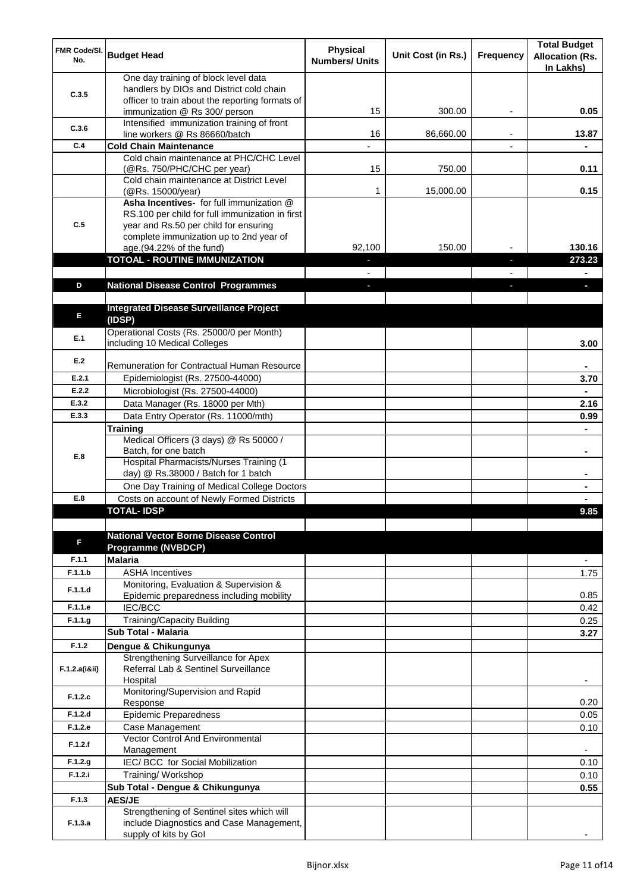| FMR Code/SI.<br>No. | <b>Budget Head</b>                                                               | <b>Physical</b><br><b>Numbers/ Units</b> | Unit Cost (in Rs.) | <b>Frequency</b> | <b>Total Budget</b><br><b>Allocation (Rs.</b><br>In Lakhs) |
|---------------------|----------------------------------------------------------------------------------|------------------------------------------|--------------------|------------------|------------------------------------------------------------|
|                     | One day training of block level data<br>handlers by DIOs and District cold chain |                                          |                    |                  |                                                            |
| C.3.5               | officer to train about the reporting formats of                                  |                                          |                    |                  |                                                            |
|                     | immunization @ Rs 300/ person                                                    | 15                                       | 300.00             |                  | 0.05                                                       |
| C.3.6               | Intensified immunization training of front<br>line workers @ Rs 86660/batch      | 16                                       | 86,660.00          |                  | 13.87                                                      |
| C.4                 | <b>Cold Chain Maintenance</b>                                                    |                                          |                    |                  |                                                            |
|                     | Cold chain maintenance at PHC/CHC Level                                          |                                          |                    |                  |                                                            |
|                     | (@Rs. 750/PHC/CHC per year)                                                      | 15                                       | 750.00             |                  | 0.11                                                       |
|                     | Cold chain maintenance at District Level<br>(@Rs. 15000/year)                    | 1                                        | 15,000.00          |                  | 0.15                                                       |
|                     | Asha Incentives- for full immunization @                                         |                                          |                    |                  |                                                            |
|                     | RS.100 per child for full immunization in first                                  |                                          |                    |                  |                                                            |
| C.5                 | year and Rs.50 per child for ensuring<br>complete immunization up to 2nd year of |                                          |                    |                  |                                                            |
|                     | age.(94.22% of the fund)                                                         | 92,100                                   | 150.00             |                  | 130.16                                                     |
|                     | <b>TOTOAL - ROUTINE IMMUNIZATION</b>                                             |                                          |                    | T                | 273.23                                                     |
|                     |                                                                                  |                                          |                    |                  |                                                            |
| D                   | <b>National Disease Control Programmes</b>                                       | J,                                       |                    | r.               | $\blacksquare$                                             |
|                     | <b>Integrated Disease Surveillance Project</b>                                   |                                          |                    |                  |                                                            |
| E                   | (IDSP)                                                                           |                                          |                    |                  |                                                            |
| E.1                 | Operational Costs (Rs. 25000/0 per Month)                                        |                                          |                    |                  |                                                            |
|                     | including 10 Medical Colleges                                                    |                                          |                    |                  | 3.00                                                       |
| E.2                 | <b>Remuneration for Contractual Human Resource</b>                               |                                          |                    |                  |                                                            |
| E.2.1               | Epidemiologist (Rs. 27500-44000)                                                 |                                          |                    |                  | 3.70                                                       |
| E.2.2               | Microbiologist (Rs. 27500-44000)                                                 |                                          |                    |                  |                                                            |
| E.3.2               | Data Manager (Rs. 18000 per Mth)                                                 |                                          |                    |                  | 2.16                                                       |
| E.3.3               | Data Entry Operator (Rs. 11000/mth)                                              |                                          |                    |                  | 0.99                                                       |
|                     | <b>Training</b>                                                                  |                                          |                    |                  |                                                            |
|                     | Medical Officers (3 days) @ Rs 50000 /<br>Batch, for one batch                   |                                          |                    |                  | ۰                                                          |
| E.8                 | Hospital Pharmacists/Nurses Training (1                                          |                                          |                    |                  |                                                            |
|                     | day) @ Rs.38000 / Batch for 1 batch                                              |                                          |                    |                  |                                                            |
|                     | One Day Training of Medical College Doctors                                      |                                          |                    |                  |                                                            |
| E.8                 | Costs on account of Newly Formed Districts<br>TOTAL - IDSP                       |                                          |                    |                  | 9.85                                                       |
|                     |                                                                                  |                                          |                    |                  |                                                            |
|                     | <b>National Vector Borne Disease Control</b>                                     |                                          |                    |                  |                                                            |
| F                   | <b>Programme (NVBDCP)</b>                                                        |                                          |                    |                  |                                                            |
| F.1.1               | <b>Malaria</b>                                                                   |                                          |                    |                  | $\overline{\phantom{a}}$                                   |
| F.1.1.b             | <b>ASHA Incentives</b><br>Monitoring, Evaluation & Supervision &                 |                                          |                    |                  | 1.75                                                       |
| F.1.1.d             | Epidemic preparedness including mobility                                         |                                          |                    |                  | 0.85                                                       |
| F.1.1.e             | <b>IEC/BCC</b>                                                                   |                                          |                    |                  | 0.42                                                       |
| F.1.1.g             | Training/Capacity Building                                                       |                                          |                    |                  | 0.25                                                       |
|                     | Sub Total - Malaria                                                              |                                          |                    |                  | 3.27                                                       |
| F.1.2               | Dengue & Chikungunya<br>Strengthening Surveillance for Apex                      |                                          |                    |                  |                                                            |
| F.1.2.a(i8ii)       | Referral Lab & Sentinel Surveillance                                             |                                          |                    |                  |                                                            |
|                     | Hospital                                                                         |                                          |                    |                  |                                                            |
| F.1.2.c             | Monitoring/Supervision and Rapid                                                 |                                          |                    |                  |                                                            |
| F.1.2.d             | Response<br><b>Epidemic Preparedness</b>                                         |                                          |                    |                  | 0.20<br>0.05                                               |
| F.1.2.e             | Case Management                                                                  |                                          |                    |                  | 0.10                                                       |
| F.1.2.f             | Vector Control And Environmental                                                 |                                          |                    |                  |                                                            |
|                     | Management                                                                       |                                          |                    |                  |                                                            |
| F.1.2.g<br>F.1.2.i  | IEC/ BCC for Social Mobilization<br>Training/ Workshop                           |                                          |                    |                  | 0.10                                                       |
|                     | Sub Total - Dengue & Chikungunya                                                 |                                          |                    |                  | 0.10<br>0.55                                               |
| F.1.3               | <b>AES/JE</b>                                                                    |                                          |                    |                  |                                                            |
|                     | Strengthening of Sentinel sites which will                                       |                                          |                    |                  |                                                            |
| F.1.3.a             | include Diagnostics and Case Management,                                         |                                          |                    |                  |                                                            |
|                     | supply of kits by Gol                                                            |                                          |                    |                  |                                                            |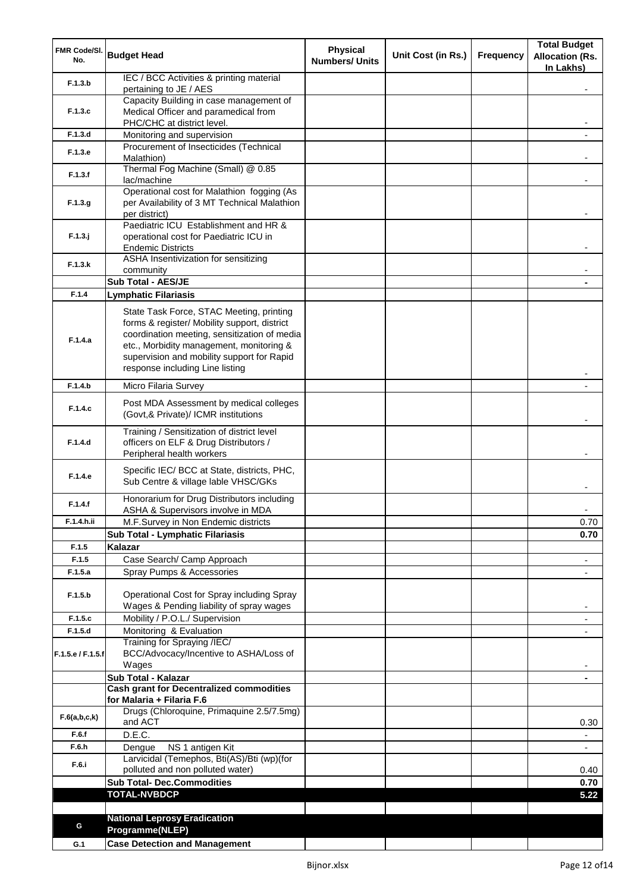| FMR Code/SI.<br>No. | <b>Budget Head</b>                                                                     | <b>Physical</b><br><b>Numbers/ Units</b> | Unit Cost (in Rs.) | <b>Frequency</b> | <b>Total Budget</b><br><b>Allocation (Rs.</b><br>In Lakhs) |
|---------------------|----------------------------------------------------------------------------------------|------------------------------------------|--------------------|------------------|------------------------------------------------------------|
| F.1.3.b             | IEC / BCC Activities & printing material<br>pertaining to JE / AES                     |                                          |                    |                  |                                                            |
|                     | Capacity Building in case management of                                                |                                          |                    |                  |                                                            |
| F.1.3.c             | Medical Officer and paramedical from                                                   |                                          |                    |                  |                                                            |
| F.1.3.d             | PHC/CHC at district level.<br>Monitoring and supervision                               |                                          |                    |                  |                                                            |
|                     | Procurement of Insecticides (Technical                                                 |                                          |                    |                  |                                                            |
| F.1.3.e             | Malathion)                                                                             |                                          |                    |                  |                                                            |
| F.1.3.f             | Thermal Fog Machine (Small) @ 0.85                                                     |                                          |                    |                  |                                                            |
|                     | lac/machine<br>Operational cost for Malathion fogging (As                              |                                          |                    |                  |                                                            |
| F.1.3.g             | per Availability of 3 MT Technical Malathion                                           |                                          |                    |                  |                                                            |
|                     | per district)<br>Paediatric ICU Establishment and HR &                                 |                                          |                    |                  |                                                            |
| $F.1.3.$ j          | operational cost for Paediatric ICU in                                                 |                                          |                    |                  |                                                            |
|                     | <b>Endemic Districts</b>                                                               |                                          |                    |                  |                                                            |
| F.1.3.k             | ASHA Insentivization for sensitizing                                                   |                                          |                    |                  |                                                            |
|                     | community<br>Sub Total - AES/JE                                                        |                                          |                    |                  |                                                            |
| F.1.4               | <b>Lymphatic Filariasis</b>                                                            |                                          |                    |                  |                                                            |
|                     | State Task Force, STAC Meeting, printing                                               |                                          |                    |                  |                                                            |
|                     | forms & register/ Mobility support, district                                           |                                          |                    |                  |                                                            |
| F.1.4.a             | coordination meeting, sensitization of media                                           |                                          |                    |                  |                                                            |
|                     | etc., Morbidity management, monitoring &                                               |                                          |                    |                  |                                                            |
|                     | supervision and mobility support for Rapid<br>response including Line listing          |                                          |                    |                  |                                                            |
| F.1.4.b             |                                                                                        |                                          |                    |                  |                                                            |
|                     | Micro Filaria Survey                                                                   |                                          |                    |                  |                                                            |
| F.1.4.c             | Post MDA Assessment by medical colleges<br>(Govt,& Private)/ ICMR institutions         |                                          |                    |                  |                                                            |
|                     | Training / Sensitization of district level                                             |                                          |                    |                  |                                                            |
| F.1.4.d             | officers on ELF & Drug Distributors /<br>Peripheral health workers                     |                                          |                    |                  |                                                            |
|                     |                                                                                        |                                          |                    |                  |                                                            |
| F.1.4.e             | Specific IEC/ BCC at State, districts, PHC,<br>Sub Centre & village lable VHSC/GKs     |                                          |                    |                  |                                                            |
| F.1.4.f             | Honorarium for Drug Distributors including                                             |                                          |                    |                  |                                                            |
| F.1.4.h.ii          | ASHA & Supervisors involve in MDA                                                      |                                          |                    |                  |                                                            |
|                     | M.F.Survey in Non Endemic districts<br>Sub Total - Lymphatic Filariasis                |                                          |                    |                  | 0.70<br>0.70                                               |
| F.1.5               | Kalazar                                                                                |                                          |                    |                  |                                                            |
| F.1.5               | Case Search/ Camp Approach                                                             |                                          |                    |                  | $\overline{\phantom{a}}$                                   |
| F.1.5.a             | Spray Pumps & Accessories                                                              |                                          |                    |                  | $\overline{\phantom{a}}$                                   |
|                     |                                                                                        |                                          |                    |                  |                                                            |
| F.1.5.b             | Operational Cost for Spray including Spray<br>Wages & Pending liability of spray wages |                                          |                    |                  |                                                            |
| F.1.5.c             | Mobility / P.O.L./ Supervision                                                         |                                          |                    |                  |                                                            |
| F.1.5.d             | Monitoring & Evaluation                                                                |                                          |                    |                  |                                                            |
|                     | Training for Spraying /IEC/                                                            |                                          |                    |                  |                                                            |
| F.1.5.e / F.1.5.f   | BCC/Advocacy/Incentive to ASHA/Loss of<br>Wages                                        |                                          |                    |                  |                                                            |
|                     | Sub Total - Kalazar                                                                    |                                          |                    |                  |                                                            |
|                     | <b>Cash grant for Decentralized commodities</b>                                        |                                          |                    |                  |                                                            |
|                     | for Malaria + Filaria F.6                                                              |                                          |                    |                  |                                                            |
| F.6(a,b,c,k)        | Drugs (Chloroquine, Primaquine 2.5/7.5mg)<br>and ACT                                   |                                          |                    |                  | 0.30                                                       |
| F.6.f               | D.E.C.                                                                                 |                                          |                    |                  |                                                            |
| F.6.h               | NS 1 antigen Kit<br>Dengue                                                             |                                          |                    |                  |                                                            |
| F.6.i               | Larvicidal (Temephos, Bti(AS)/Bti (wp)(for                                             |                                          |                    |                  |                                                            |
|                     | polluted and non polluted water)                                                       |                                          |                    |                  | 0.40                                                       |
|                     | <b>Sub Total- Dec.Commodities</b><br><b>TOTAL-NVBDCP</b>                               |                                          |                    |                  | 0.70<br>5.22                                               |
|                     |                                                                                        |                                          |                    |                  |                                                            |
|                     | <b>National Leprosy Eradication</b>                                                    |                                          |                    |                  |                                                            |
| G                   | Programme(NLEP)                                                                        |                                          |                    |                  |                                                            |
| G.1                 | Case Detection and Management                                                          |                                          |                    |                  |                                                            |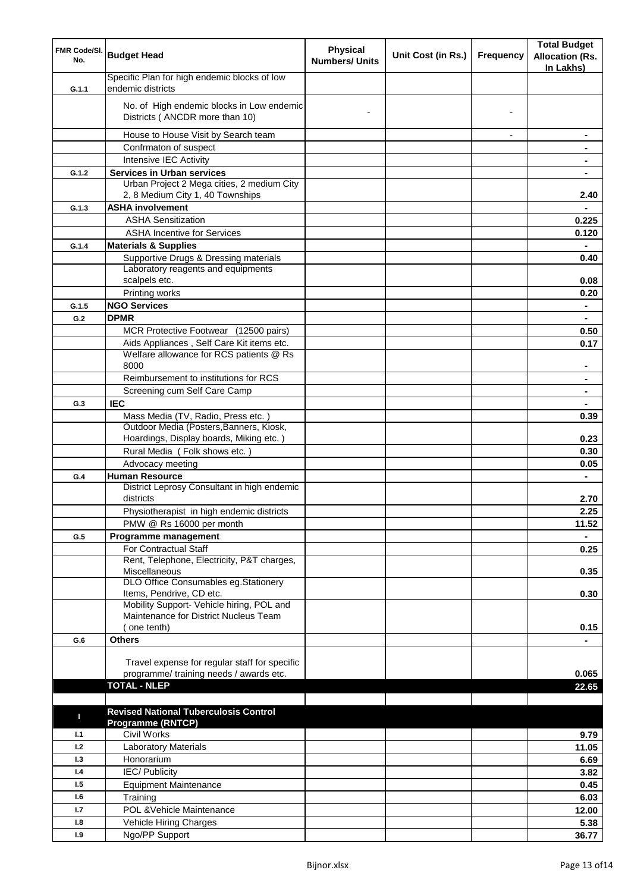| FMR Code/SI.<br>No. | <b>Budget Head</b>                                                                   | <b>Physical</b><br><b>Numbers/ Units</b> | Unit Cost (in Rs.) | <b>Frequency</b>         | <b>Total Budget</b><br><b>Allocation (Rs.</b><br>In Lakhs) |
|---------------------|--------------------------------------------------------------------------------------|------------------------------------------|--------------------|--------------------------|------------------------------------------------------------|
| G.1.1               | Specific Plan for high endemic blocks of low<br>endemic districts                    |                                          |                    |                          |                                                            |
|                     | No. of High endemic blocks in Low endemic<br>Districts (ANCDR more than 10)          |                                          |                    |                          |                                                            |
|                     | House to House Visit by Search team                                                  |                                          |                    | $\overline{\phantom{a}}$ | $\blacksquare$                                             |
|                     | Confrmaton of suspect                                                                |                                          |                    |                          | $\blacksquare$                                             |
|                     | Intensive IEC Activity                                                               |                                          |                    |                          | $\blacksquare$                                             |
| G.1.2               | <b>Services in Urban services</b>                                                    |                                          |                    |                          | $\blacksquare$                                             |
|                     | Urban Project 2 Mega cities, 2 medium City<br>2, 8 Medium City 1, 40 Townships       |                                          |                    |                          | 2.40                                                       |
| G.1.3               | <b>ASHA involvement</b>                                                              |                                          |                    |                          |                                                            |
|                     | <b>ASHA Sensitization</b>                                                            |                                          |                    |                          | 0.225                                                      |
|                     | <b>ASHA Incentive for Services</b>                                                   |                                          |                    |                          | 0.120                                                      |
| G.1.4               | <b>Materials &amp; Supplies</b>                                                      |                                          |                    |                          |                                                            |
|                     | Supportive Drugs & Dressing materials                                                |                                          |                    |                          | 0.40                                                       |
|                     | Laboratory reagents and equipments<br>scalpels etc.                                  |                                          |                    |                          |                                                            |
|                     |                                                                                      |                                          |                    |                          | 0.08                                                       |
| G.1.5               | Printing works<br><b>NGO Services</b>                                                |                                          |                    |                          | 0.20                                                       |
|                     | <b>DPMR</b>                                                                          |                                          |                    |                          | $\blacksquare$                                             |
| G.2                 | MCR Protective Footwear (12500 pairs)                                                |                                          |                    |                          | $\blacksquare$                                             |
|                     |                                                                                      |                                          |                    |                          | 0.50                                                       |
|                     | Aids Appliances, Self Care Kit items etc.<br>Welfare allowance for RCS patients @ Rs |                                          |                    |                          | 0.17                                                       |
|                     | 8000                                                                                 |                                          |                    |                          |                                                            |
|                     | Reimbursement to institutions for RCS                                                |                                          |                    |                          |                                                            |
|                     | Screening cum Self Care Camp                                                         |                                          |                    |                          |                                                            |
| G.3                 | <b>IEC</b>                                                                           |                                          |                    |                          |                                                            |
|                     | Mass Media (TV, Radio, Press etc.)                                                   |                                          |                    |                          | 0.39                                                       |
|                     | Outdoor Media (Posters, Banners, Kiosk,                                              |                                          |                    |                          |                                                            |
|                     | Hoardings, Display boards, Miking etc.)                                              |                                          |                    |                          | 0.23                                                       |
|                     | Rural Media (Folk shows etc.)                                                        |                                          |                    |                          | 0.30                                                       |
|                     | Advocacy meeting                                                                     |                                          |                    |                          | 0.05                                                       |
| G.4                 | <b>Human Resource</b>                                                                |                                          |                    |                          | $\blacksquare$                                             |
|                     | District Leprosy Consultant in high endemic                                          |                                          |                    |                          |                                                            |
|                     | districts                                                                            |                                          |                    |                          | 2.70                                                       |
|                     | Physiotherapist in high endemic districts                                            |                                          |                    |                          | 2.25                                                       |
|                     | PMW @ Rs 16000 per month                                                             |                                          |                    |                          | 11.52                                                      |
| G.5                 | Programme management                                                                 |                                          |                    |                          |                                                            |
|                     | For Contractual Staff                                                                |                                          |                    |                          | 0.25                                                       |
|                     | Rent, Telephone, Electricity, P&T charges,<br>Miscellaneous                          |                                          |                    |                          |                                                            |
|                     | DLO Office Consumables eg.Stationery                                                 |                                          |                    |                          | 0.35                                                       |
|                     | Items, Pendrive, CD etc.                                                             |                                          |                    |                          | 0.30                                                       |
|                     | Mobility Support- Vehicle hiring, POL and                                            |                                          |                    |                          |                                                            |
|                     | Maintenance for District Nucleus Team                                                |                                          |                    |                          |                                                            |
|                     | (one tenth)                                                                          |                                          |                    |                          | 0.15                                                       |
| G.6                 | <b>Others</b>                                                                        |                                          |                    |                          |                                                            |
|                     |                                                                                      |                                          |                    |                          |                                                            |
|                     | Travel expense for regular staff for specific                                        |                                          |                    |                          |                                                            |
|                     | programme/ training needs / awards etc.<br><b>TOTAL - NLEP</b>                       |                                          |                    |                          | 0.065<br>22.65                                             |
|                     |                                                                                      |                                          |                    |                          |                                                            |
|                     | <b>Revised National Tuberculosis Control</b>                                         |                                          |                    |                          |                                                            |
| п                   | <b>Programme (RNTCP)</b>                                                             |                                          |                    |                          |                                                            |
| 1.1                 | Civil Works                                                                          |                                          |                    |                          | 9.79                                                       |
| 1.2                 | Laboratory Materials                                                                 |                                          |                    |                          | 11.05                                                      |
| 1.3                 | Honorarium                                                                           |                                          |                    |                          | 6.69                                                       |
| 1.4                 | <b>IEC/Publicity</b>                                                                 |                                          |                    |                          | 3.82                                                       |
| 1.5                 | <b>Equipment Maintenance</b>                                                         |                                          |                    |                          | 0.45                                                       |
| 1.6                 | Training                                                                             |                                          |                    |                          | 6.03                                                       |
| 1.7                 | POL & Vehicle Maintenance                                                            |                                          |                    |                          | 12.00                                                      |
| 1.8                 | Vehicle Hiring Charges                                                               |                                          |                    |                          | 5.38                                                       |
| 1.9                 | Ngo/PP Support                                                                       |                                          |                    |                          | 36.77                                                      |